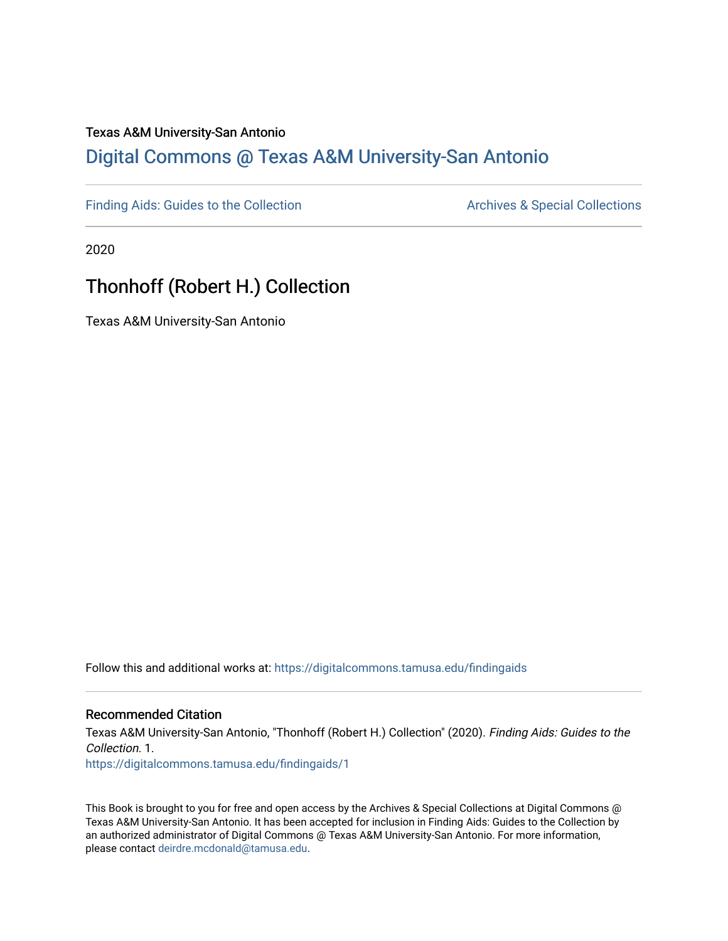#### Texas A&M University-San Antonio

## [Digital Commons @ Texas A&M University-San Antonio](https://digitalcommons.tamusa.edu/)

[Finding Aids: Guides to the Collection](https://digitalcommons.tamusa.edu/findingaids) **Archives & Special Collections** Archives & Special Collections

2020

## Thonhoff (Robert H.) Collection

Texas A&M University-San Antonio

Follow this and additional works at: [https://digitalcommons.tamusa.edu/findingaids](https://digitalcommons.tamusa.edu/findingaids?utm_source=digitalcommons.tamusa.edu%2Ffindingaids%2F1&utm_medium=PDF&utm_campaign=PDFCoverPages) 

#### Recommended Citation

Texas A&M University-San Antonio, "Thonhoff (Robert H.) Collection" (2020). Finding Aids: Guides to the Collection. 1. [https://digitalcommons.tamusa.edu/findingaids/1](https://digitalcommons.tamusa.edu/findingaids/1?utm_source=digitalcommons.tamusa.edu%2Ffindingaids%2F1&utm_medium=PDF&utm_campaign=PDFCoverPages) 

This Book is brought to you for free and open access by the Archives & Special Collections at Digital Commons @ Texas A&M University-San Antonio. It has been accepted for inclusion in Finding Aids: Guides to the Collection by an authorized administrator of Digital Commons @ Texas A&M University-San Antonio. For more information, please contact [deirdre.mcdonald@tamusa.edu.](mailto:deirdre.mcdonald@tamusa.edu)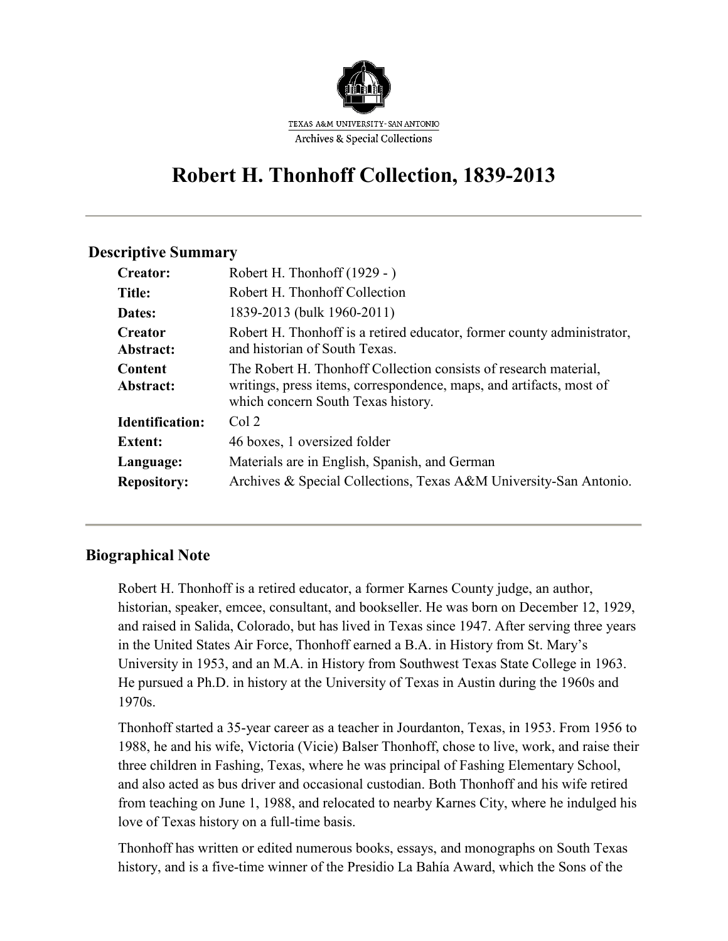

# **Robert H. Thonhoff Collection, 1839-2013**

#### **Descriptive Summary**

| <b>Creator:</b>                 | Robert H. Thonhoff (1929 - )                                                                                                                                                  |
|---------------------------------|-------------------------------------------------------------------------------------------------------------------------------------------------------------------------------|
| <b>Title:</b>                   | Robert H. Thonhoff Collection                                                                                                                                                 |
| <b>Dates:</b>                   | 1839-2013 (bulk 1960-2011)                                                                                                                                                    |
| <b>Creator</b><br>Abstract:     | Robert H. Thonhoff is a retired educator, former county administrator,<br>and historian of South Texas.                                                                       |
| Content<br>Abstract:            | The Robert H. Thonhoff Collection consists of research material,<br>writings, press items, correspondence, maps, and artifacts, most of<br>which concern South Texas history. |
| <b>Identification:</b>          | Col <sub>2</sub>                                                                                                                                                              |
| <b>Extent:</b>                  | 46 boxes, 1 oversized folder                                                                                                                                                  |
| Language:<br><b>Repository:</b> | Materials are in English, Spanish, and German<br>Archives & Special Collections, Texas A&M University-San Antonio.                                                            |
|                                 |                                                                                                                                                                               |

### **Biographical Note**

Robert H. Thonhoff is a retired educator, a former Karnes County judge, an author, historian, speaker, emcee, consultant, and bookseller. He was born on December 12, 1929, and raised in Salida, Colorado, but has lived in Texas since 1947. After serving three years in the United States Air Force, Thonhoff earned a B.A. in History from St. Mary's University in 1953, and an M.A. in History from Southwest Texas State College in 1963. He pursued a Ph.D. in history at the University of Texas in Austin during the 1960s and 1970s.

Thonhoff started a 35-year career as a teacher in Jourdanton, Texas, in 1953. From 1956 to 1988, he and his wife, Victoria (Vicie) Balser Thonhoff, chose to live, work, and raise their three children in Fashing, Texas, where he was principal of Fashing Elementary School, and also acted as bus driver and occasional custodian. Both Thonhoff and his wife retired from teaching on June 1, 1988, and relocated to nearby Karnes City, where he indulged his love of Texas history on a full-time basis.

Thonhoff has written or edited numerous books, essays, and monographs on South Texas history, and is a five-time winner of the Presidio La Bahía Award, which the Sons of the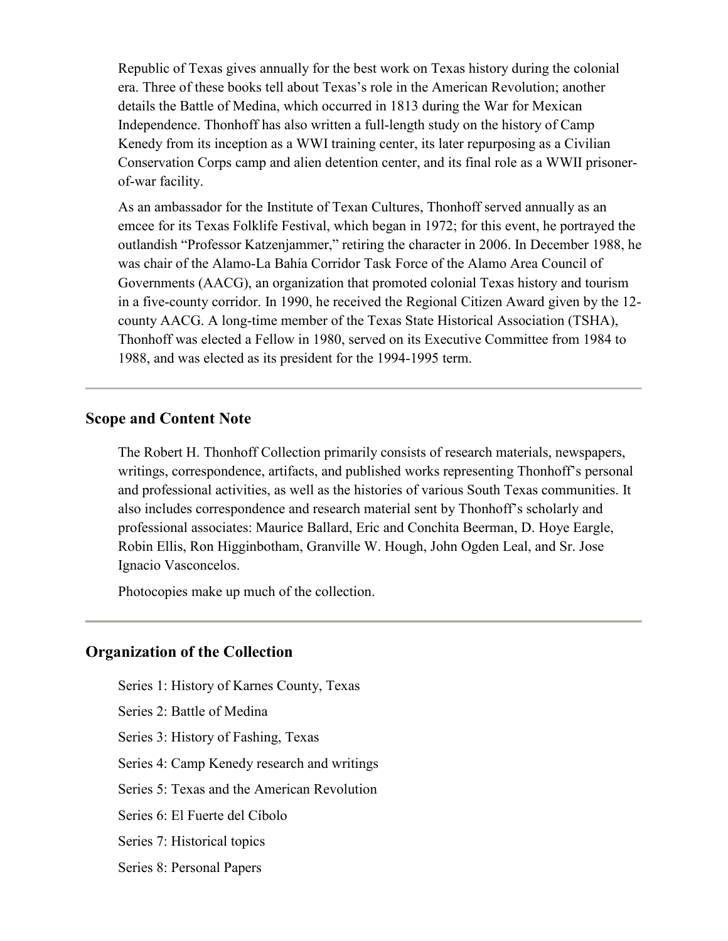Republic of Texas gives annually for the best work on Texas history during the colonial era. Three of these books tell about Texas's role in the American Revolution; another details the Battle of Medina, which occurred in 1813 during the War for Mexican Independence. Thonhoff has also written a full-length study on the history of Camp Kenedy from its inception as a WWI training center, its later repurposing as a Civilian Conservation Corps camp and alien detention center, and its final role as a WWII prisonerof-war facility.

As an ambassador for the Institute of Texan Cultures, Thonhoff served annually as an emcee for its Texas Folklife Festival, which began in 1972; for this event, he portrayed the outlandish "Professor Katzenjammer," retiring the character in 2006. In December 1988, he was chair of the Alamo-La Bahía Corridor Task Force of the Alamo Area Council of Governments (AACG), an organization that promoted colonial Texas history and tourism in a five-county corridor. In 1990, he received the Regional Citizen Award given by the 12 county AACG. A long-time member of the Texas State Historical Association (TSHA), Thonhoff was elected a Fellow in 1980, served on its Executive Committee from 1984 to 1988, and was elected as its president for the 1994-1995 term.

#### **Scope and Content Note**

The Robert H. Thonhoff Collection primarily consists of research materials, newspapers, writings, correspondence, artifacts, and published works representing Thonhoff's personal and professional activities, as well as the histories of various South Texas communities. It also includes correspondence and research material sent by Thonhoff's scholarly and professional associates: Maurice Ballard, Eric and Conchita Beerman, D. Hoye Eargle, Robin Ellis, Ron Higginbotham, Granville W. Hough, John Ogden Leal, and Sr. Jose Ignacio Vasconcelos.

Photocopies make up much of the collection.

#### **Organization of the Collection**

Series 1: History of Karnes County, Texas Series 2: Battle of Medina Series 3: History of Fashing, Texas Series 4: Camp Kenedy research and writings Series 5: Texas and the American Revolution Series 6: El Fuerte del Cíbolo Series 7: Historical topics Series 8: Personal Papers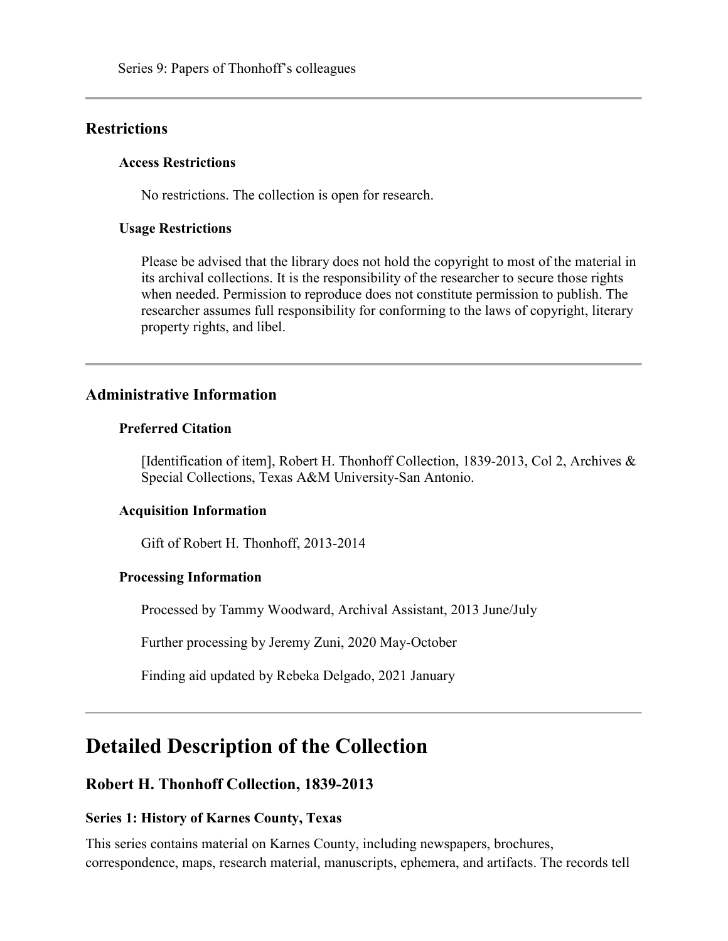#### **Restrictions**

#### **Access Restrictions**

No restrictions. The collection is open for research.

#### **Usage Restrictions**

Please be advised that the library does not hold the copyright to most of the material in its archival collections. It is the responsibility of the researcher to secure those rights when needed. Permission to reproduce does not constitute permission to publish. The researcher assumes full responsibility for conforming to the laws of copyright, literary property rights, and libel.

### **Administrative Information**

#### **Preferred Citation**

[Identification of item], Robert H. Thonhoff Collection, 1839-2013, Col 2, Archives & Special Collections, Texas A&M University-San Antonio.

#### **Acquisition Information**

Gift of Robert H. Thonhoff, 2013-2014

#### **Processing Information**

Processed by Tammy Woodward, Archival Assistant, 2013 June/July

Further processing by Jeremy Zuni, 2020 May-October

Finding aid updated by Rebeka Delgado, 2021 January

## **Detailed Description of the Collection**

#### **Robert H. Thonhoff Collection, 1839-2013**

#### **Series 1: History of Karnes County, Texas**

This series contains material on Karnes County, including newspapers, brochures, correspondence, maps, research material, manuscripts, ephemera, and artifacts. The records tell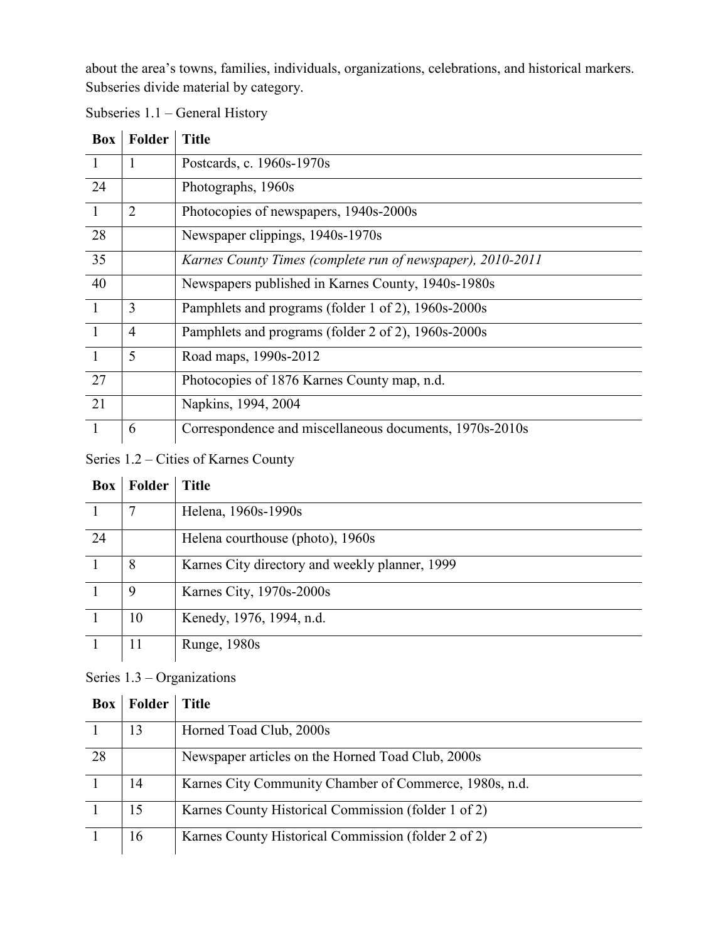about the area's towns, families, individuals, organizations, celebrations, and historical markers. Subseries divide material by category.

| <b>Box</b>     | Folder         | <b>Title</b>                                               |
|----------------|----------------|------------------------------------------------------------|
|                | 1              | Postcards, c. 1960s-1970s                                  |
| 24             |                | Photographs, 1960s                                         |
| $\mathbf{1}$   | $\overline{2}$ | Photocopies of newspapers, 1940s-2000s                     |
| 28             |                | Newspaper clippings, 1940s-1970s                           |
| 35             |                | Karnes County Times (complete run of newspaper), 2010-2011 |
| 40             |                | Newspapers published in Karnes County, 1940s-1980s         |
| $\overline{1}$ | 3              | Pamphlets and programs (folder 1 of 2), 1960s-2000s        |
| $\overline{1}$ | $\overline{4}$ | Pamphlets and programs (folder 2 of 2), 1960s-2000s        |
| $\overline{1}$ | 5              | Road maps, 1990s-2012                                      |
| 27             |                | Photocopies of 1876 Karnes County map, n.d.                |
| 21             |                | Napkins, 1994, 2004                                        |
| $\overline{1}$ | 6              | Correspondence and miscellaneous documents, 1970s-2010s    |

Subseries 1.1 – General History

Series 1.2 – Cities of Karnes County

| Box | Folder | Title                                          |
|-----|--------|------------------------------------------------|
|     | 7      | Helena, 1960s-1990s                            |
| 24  |        | Helena courthouse (photo), 1960s               |
|     | 8      | Karnes City directory and weekly planner, 1999 |
|     | 9      | Karnes City, 1970s-2000s                       |
|     | 10     | Kenedy, 1976, 1994, n.d.                       |
|     | 11     | Runge, 1980s                                   |

### Series 1.3 – Organizations

| <b>Box</b> | Folder | <b>Title</b>                                           |
|------------|--------|--------------------------------------------------------|
|            | 13     | Horned Toad Club, 2000s                                |
| 28         |        | Newspaper articles on the Horned Toad Club, 2000s      |
|            | 14     | Karnes City Community Chamber of Commerce, 1980s, n.d. |
|            | 15     | Karnes County Historical Commission (folder 1 of 2)    |
|            | 16     | Karnes County Historical Commission (folder 2 of 2)    |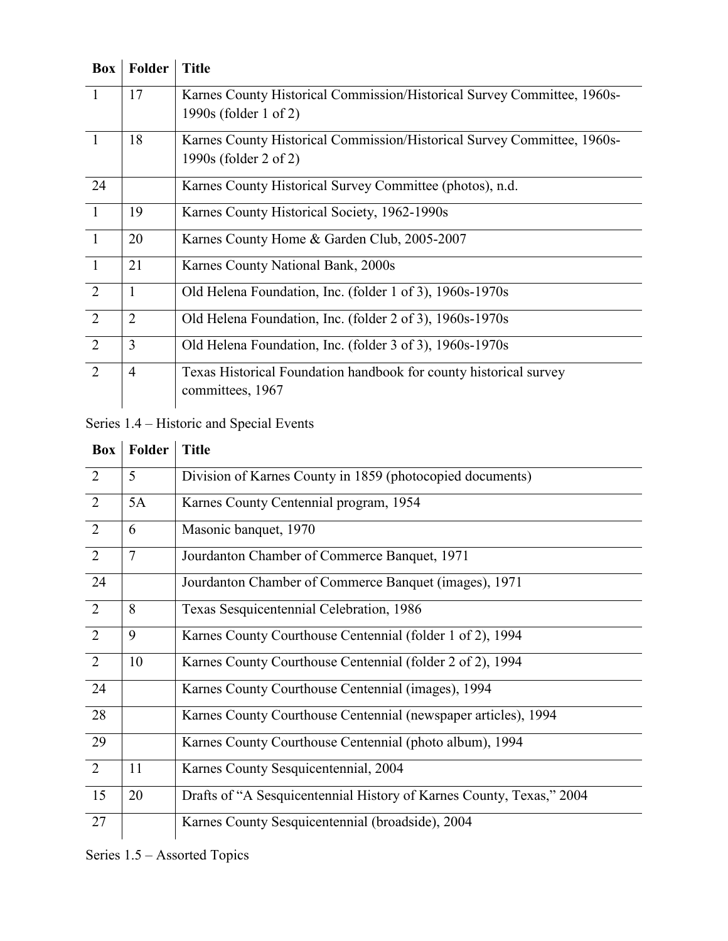| <b>Box</b>     | Folder         | <b>Title</b>                                                            |
|----------------|----------------|-------------------------------------------------------------------------|
| $\overline{1}$ | 17             | Karnes County Historical Commission/Historical Survey Committee, 1960s- |
|                |                | 1990s (folder 1 of 2)                                                   |
| $\mathbf{1}$   | 18             | Karnes County Historical Commission/Historical Survey Committee, 1960s- |
|                |                | 1990s (folder 2 of 2)                                                   |
| 24             |                | Karnes County Historical Survey Committee (photos), n.d.                |
| $\overline{1}$ | 19             | Karnes County Historical Society, 1962-1990s                            |
| $\overline{1}$ | 20             | Karnes County Home & Garden Club, 2005-2007                             |
| $\overline{1}$ | 21             | Karnes County National Bank, 2000s                                      |
| 2              | $\mathbf{1}$   | Old Helena Foundation, Inc. (folder 1 of 3), 1960s-1970s                |
| 2              | $\overline{2}$ | Old Helena Foundation, Inc. (folder 2 of 3), 1960s-1970s                |
| 2              | 3              | Old Helena Foundation, Inc. (folder 3 of 3), 1960s-1970s                |
| 2              | $\overline{4}$ | Texas Historical Foundation handbook for county historical survey       |
|                |                | committees, 1967                                                        |

Series 1.4 – Historic and Special Events

| Box | Folder         | <b>Title</b>                                                         |
|-----|----------------|----------------------------------------------------------------------|
| 2   | 5              | Division of Karnes County in 1859 (photocopied documents)            |
| 2   | 5A             | Karnes County Centennial program, 1954                               |
| 2   | 6              | Masonic banquet, 1970                                                |
| 2   | $\overline{7}$ | Jourdanton Chamber of Commerce Banquet, 1971                         |
| 24  |                | Jourdanton Chamber of Commerce Banquet (images), 1971                |
| 2   | 8              | Texas Sesquicentennial Celebration, 1986                             |
| 2   | 9              | Karnes County Courthouse Centennial (folder 1 of 2), 1994            |
| 2   | 10             | Karnes County Courthouse Centennial (folder 2 of 2), 1994            |
| 24  |                | Karnes County Courthouse Centennial (images), 1994                   |
| 28  |                | Karnes County Courthouse Centennial (newspaper articles), 1994       |
| 29  |                | Karnes County Courthouse Centennial (photo album), 1994              |
| 2   | 11             | Karnes County Sesquicentennial, 2004                                 |
| 15  | 20             | Drafts of "A Sesquicentennial History of Karnes County, Texas," 2004 |
| 27  |                | Karnes County Sesquicentennial (broadside), 2004                     |

Series 1.5 – Assorted Topics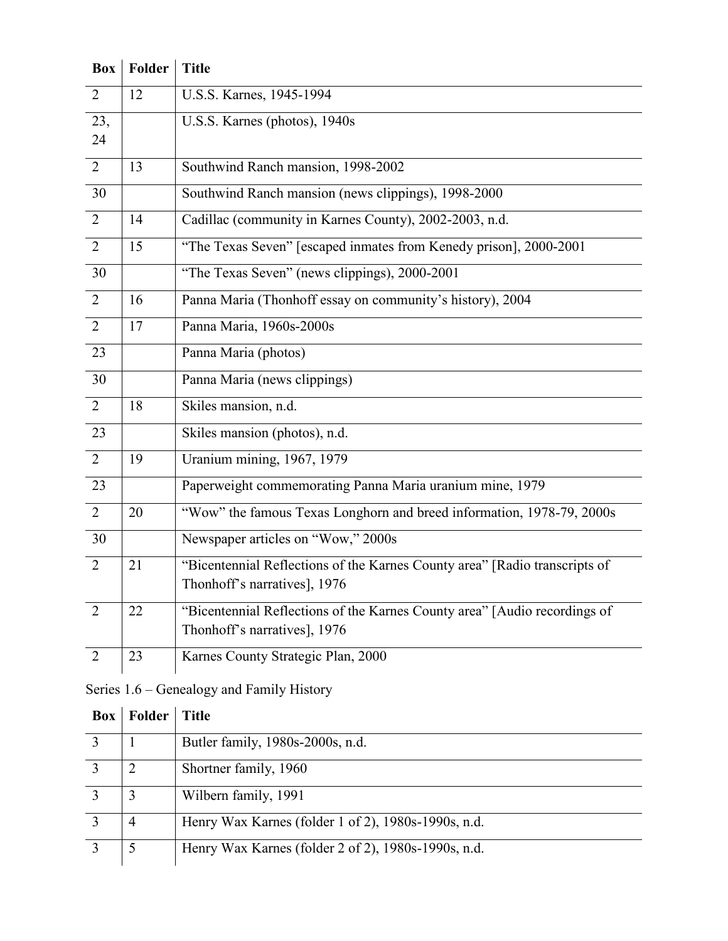| <b>Box</b>     | Folder | <b>Title</b>                                                                                               |
|----------------|--------|------------------------------------------------------------------------------------------------------------|
| 2              | 12     | U.S.S. Karnes, 1945-1994                                                                                   |
| 23,<br>24      |        | U.S.S. Karnes (photos), 1940s                                                                              |
| 2              | 13     | Southwind Ranch mansion, 1998-2002                                                                         |
| 30             |        | Southwind Ranch mansion (news clippings), 1998-2000                                                        |
| 2              | 14     | Cadillac (community in Karnes County), 2002-2003, n.d.                                                     |
| 2              | 15     | "The Texas Seven" [escaped inmates from Kenedy prison], 2000-2001                                          |
| 30             |        | "The Texas Seven" (news clippings), 2000-2001                                                              |
| $\overline{2}$ | 16     | Panna Maria (Thonhoff essay on community's history), 2004                                                  |
| 2              | 17     | Panna Maria, 1960s-2000s                                                                                   |
| 23             |        | Panna Maria (photos)                                                                                       |
| 30             |        | Panna Maria (news clippings)                                                                               |
| $\overline{2}$ | 18     | Skiles mansion, n.d.                                                                                       |
| 23             |        | Skiles mansion (photos), n.d.                                                                              |
| 2              | 19     | Uranium mining, 1967, 1979                                                                                 |
| 23             |        | Paperweight commemorating Panna Maria uranium mine, 1979                                                   |
| 2              | 20     | "Wow" the famous Texas Longhorn and breed information, 1978-79, 2000s                                      |
| 30             |        | Newspaper articles on "Wow," 2000s                                                                         |
| $\overline{2}$ | 21     | "Bicentennial Reflections of the Karnes County area" [Radio transcripts of<br>Thonhoff's narratives], 1976 |
| 2              | 22     | "Bicentennial Reflections of the Karnes County area" [Audio recordings of<br>Thonhoff's narratives], 1976  |
| 2              | 23     | Karnes County Strategic Plan, 2000                                                                         |

## Series 1.6 – Genealogy and Family History

| Box | Folder         | <b>Title</b>                                        |
|-----|----------------|-----------------------------------------------------|
|     |                | Butler family, 1980s-2000s, n.d.                    |
|     |                | Shortner family, 1960                               |
|     | 3              | Wilbern family, 1991                                |
|     | $\overline{4}$ | Henry Wax Karnes (folder 1 of 2), 1980s-1990s, n.d. |
|     |                | Henry Wax Karnes (folder 2 of 2), 1980s-1990s, n.d. |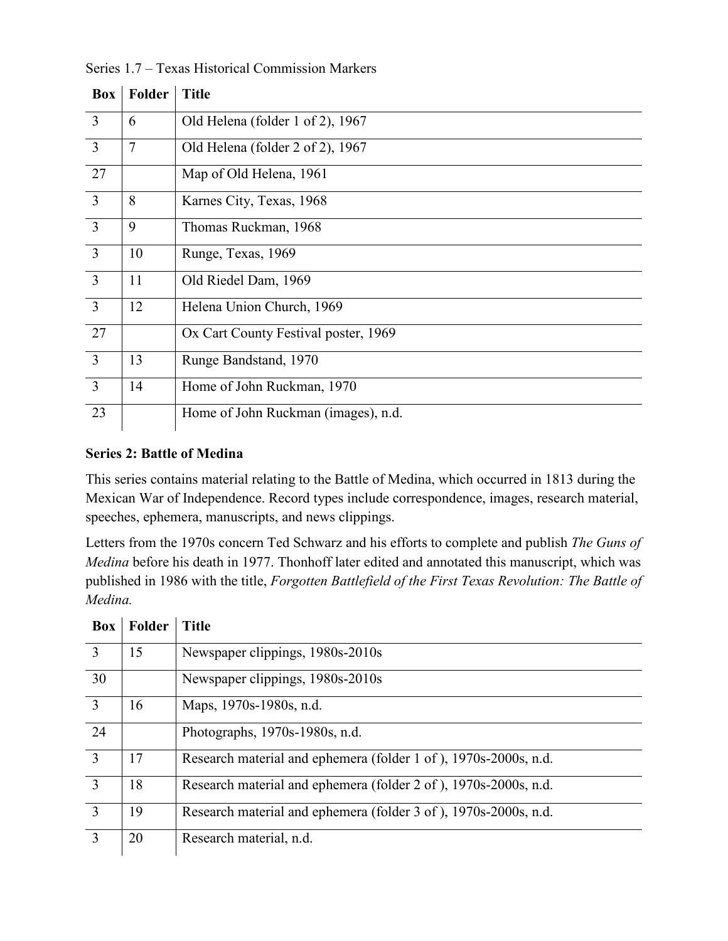| Box            | Folder         | <b>Title</b>                         |
|----------------|----------------|--------------------------------------|
| 3              | 6              | Old Helena (folder 1 of 2), 1967     |
| 3              | $\overline{7}$ | Old Helena (folder 2 of 2), 1967     |
| 27             |                | Map of Old Helena, 1961              |
| 3              | 8              | Karnes City, Texas, 1968             |
| $\overline{3}$ | 9              | Thomas Ruckman, 1968                 |
| $\overline{3}$ | 10             | Runge, Texas, 1969                   |
| $\overline{3}$ | 11             | Old Riedel Dam, 1969                 |
| $\overline{3}$ | 12             | Helena Union Church, 1969            |
| 27             |                | Ox Cart County Festival poster, 1969 |
| 3              | 13             | Runge Bandstand, 1970                |
| $\overline{3}$ | 14             | Home of John Ruckman, 1970           |
| 23             |                | Home of John Ruckman (images), n.d.  |

Series 1.7 – Texas Historical Commission Markers

#### **Series 2: Battle of Medina**

This series contains material relating to the Battle of Medina, which occurred in 1813 during the Mexican War of Independence. Record types include correspondence, images, research material, speeches, ephemera, manuscripts, and news clippings.

Letters from the 1970s concern Ted Schwarz and his efforts to complete and publish *The Guns of Medina* before his death in 1977. Thonhoff later edited and annotated this manuscript, which was published in 1986 with the title, *Forgotten Battlefield of the First Texas Revolution: The Battle of Medina.*

| <b>Box</b>     | <b>Folder</b> | <b>Title</b>                                                     |
|----------------|---------------|------------------------------------------------------------------|
| 3              | 15            | Newspaper clippings, 1980s-2010s                                 |
| 30             |               | Newspaper clippings, 1980s-2010s                                 |
| 3              | 16            | Maps, 1970s-1980s, n.d.                                          |
| 24             |               | Photographs, 1970s-1980s, n.d.                                   |
| $\mathcal{E}$  | 17            | Research material and ephemera (folder 1 of ), 1970s-2000s, n.d. |
| $\mathcal{R}$  | 18            | Research material and ephemera (folder 2 of), 1970s-2000s, n.d.  |
| $\mathcal{Z}$  | 19            | Research material and ephemera (folder 3 of), 1970s-2000s, n.d.  |
| $\overline{3}$ | 20            | Research material, n.d.                                          |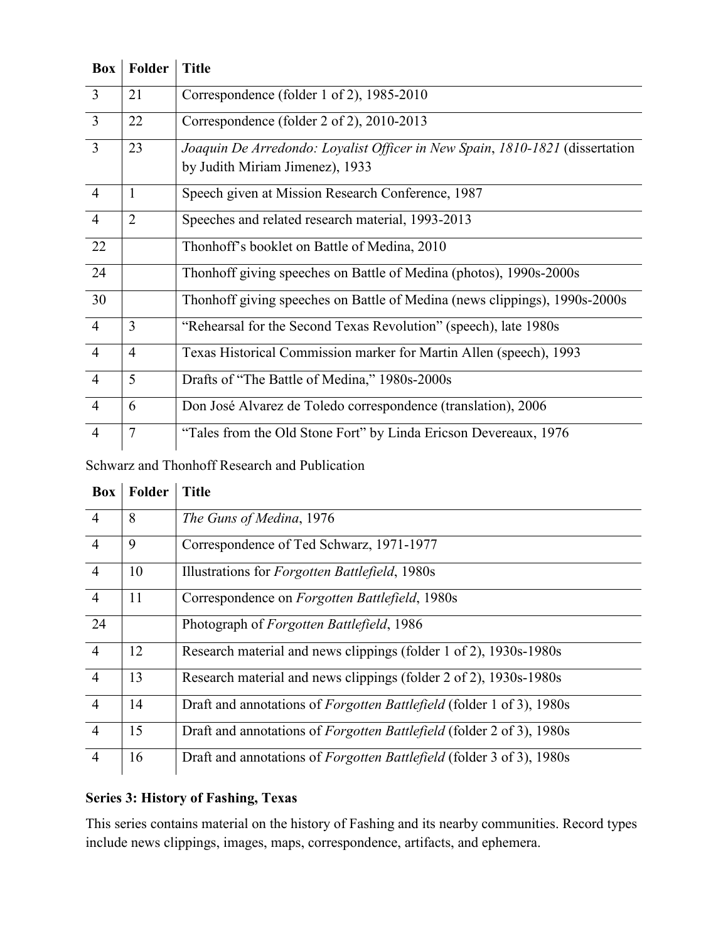| Box            | Folder         | <b>Title</b>                                                                 |
|----------------|----------------|------------------------------------------------------------------------------|
| $\overline{3}$ | 21             | Correspondence (folder 1 of 2), 1985-2010                                    |
| $\overline{3}$ | 22             | Correspondence (folder 2 of 2), 2010-2013                                    |
| 3              | 23             | Joaquin De Arredondo: Loyalist Officer in New Spain, 1810-1821 (dissertation |
|                |                | by Judith Miriam Jimenez), 1933                                              |
| $\overline{4}$ | $\mathbf{1}$   | Speech given at Mission Research Conference, 1987                            |
| $\overline{4}$ | $\overline{2}$ | Speeches and related research material, 1993-2013                            |
| 22             |                | Thonhoff's booklet on Battle of Medina, 2010                                 |
| 24             |                | Thonhoff giving speeches on Battle of Medina (photos), 1990s-2000s           |
| 30             |                | Thonhoff giving speeches on Battle of Medina (news clippings), 1990s-2000s   |
| $\overline{4}$ | 3              | "Rehearsal for the Second Texas Revolution" (speech), late 1980s             |
| $\overline{4}$ | $\overline{4}$ | Texas Historical Commission marker for Martin Allen (speech), 1993           |
| $\overline{4}$ | 5              | Drafts of "The Battle of Medina," 1980s-2000s                                |
| $\overline{4}$ | 6              | Don José Alvarez de Toledo correspondence (translation), 2006                |
| $\overline{4}$ | $\overline{7}$ | "Tales from the Old Stone Fort" by Linda Ericson Devereaux, 1976             |

Schwarz and Thonhoff Research and Publication

| <b>Box</b>     | Folder | <b>Title</b>                                                                 |
|----------------|--------|------------------------------------------------------------------------------|
| $\overline{4}$ | 8      | The Guns of Medina, 1976                                                     |
| $\overline{4}$ | 9      | Correspondence of Ted Schwarz, 1971-1977                                     |
| $\overline{4}$ | 10     | Illustrations for Forgotten Battlefield, 1980s                               |
| $\overline{4}$ | 11     | Correspondence on <i>Forgotten Battlefield</i> , 1980s                       |
| 24             |        | Photograph of Forgotten Battlefield, 1986                                    |
| $\overline{4}$ | 12     | Research material and news clippings (folder 1 of 2), 1930s-1980s            |
| $\overline{4}$ | 13     | Research material and news clippings (folder 2 of 2), 1930s-1980s            |
| $\overline{4}$ | 14     | Draft and annotations of <i>Forgotten Battlefield</i> (folder 1 of 3), 1980s |
| $\overline{4}$ | 15     | Draft and annotations of <i>Forgotten Battlefield</i> (folder 2 of 3), 1980s |
| $\overline{4}$ | 16     | Draft and annotations of <i>Forgotten Battlefield</i> (folder 3 of 3), 1980s |

### **Series 3: History of Fashing, Texas**

This series contains material on the history of Fashing and its nearby communities. Record types include news clippings, images, maps, correspondence, artifacts, and ephemera.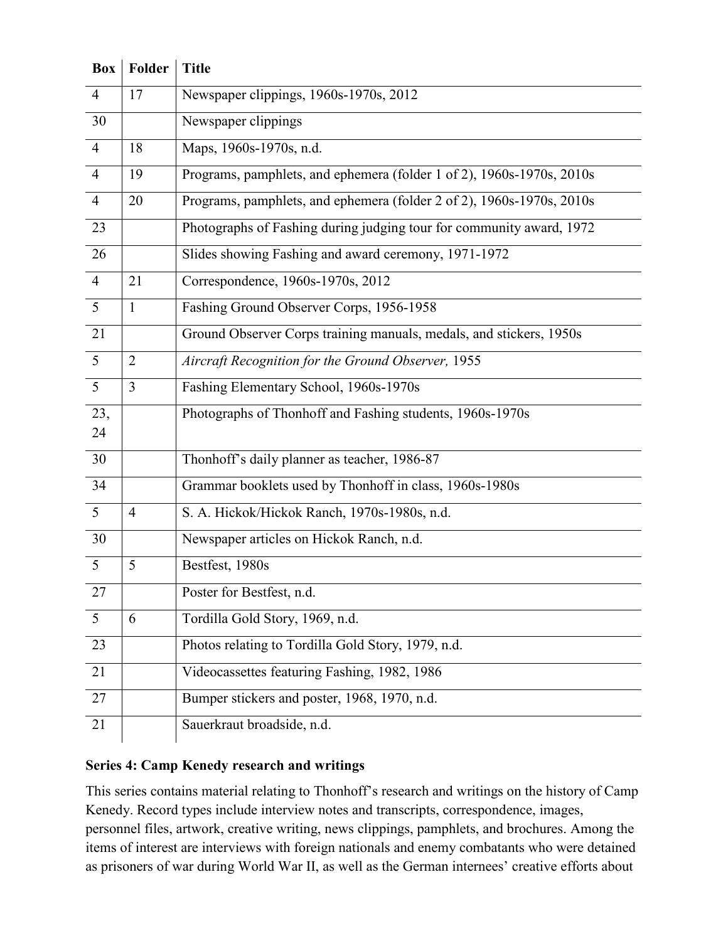| Box            | Folder         | <b>Title</b>                                                          |  |
|----------------|----------------|-----------------------------------------------------------------------|--|
| $\overline{4}$ | 17             | Newspaper clippings, 1960s-1970s, 2012                                |  |
| 30             |                | Newspaper clippings                                                   |  |
| $\overline{4}$ | 18             | Maps, 1960s-1970s, n.d.                                               |  |
| $\overline{4}$ | 19             | Programs, pamphlets, and ephemera (folder 1 of 2), 1960s-1970s, 2010s |  |
| $\overline{4}$ | 20             | Programs, pamphlets, and ephemera (folder 2 of 2), 1960s-1970s, 2010s |  |
| 23             |                | Photographs of Fashing during judging tour for community award, 1972  |  |
| 26             |                | Slides showing Fashing and award ceremony, 1971-1972                  |  |
| $\overline{4}$ | 21             | Correspondence, 1960s-1970s, 2012                                     |  |
| 5              | $\mathbf{1}$   | Fashing Ground Observer Corps, 1956-1958                              |  |
| 21             |                | Ground Observer Corps training manuals, medals, and stickers, 1950s   |  |
| $\overline{5}$ | $\overline{2}$ | Aircraft Recognition for the Ground Observer, 1955                    |  |
| $\overline{5}$ | $\overline{3}$ | Fashing Elementary School, 1960s-1970s                                |  |
| 23,<br>24      |                | Photographs of Thonhoff and Fashing students, 1960s-1970s             |  |
| 30             |                | Thonhoff's daily planner as teacher, 1986-87                          |  |
| 34             |                | Grammar booklets used by Thonhoff in class, 1960s-1980s               |  |
| 5              | $\overline{4}$ | S. A. Hickok/Hickok Ranch, 1970s-1980s, n.d.                          |  |
| 30             |                | Newspaper articles on Hickok Ranch, n.d.                              |  |
| $\overline{5}$ | 5              | Bestfest, 1980s                                                       |  |
| 27             |                | Poster for Bestfest, n.d.                                             |  |
| 5              | 6              | Tordilla Gold Story, 1969, n.d.                                       |  |
| 23             |                | Photos relating to Tordilla Gold Story, 1979, n.d.                    |  |
| 21             |                | Videocassettes featuring Fashing, 1982, 1986                          |  |
| 27             |                | Bumper stickers and poster, 1968, 1970, n.d.                          |  |
| 21             |                | Sauerkraut broadside, n.d.                                            |  |

### **Series 4: Camp Kenedy research and writings**

This series contains material relating to Thonhoff's research and writings on the history of Camp Kenedy. Record types include interview notes and transcripts, correspondence, images, personnel files, artwork, creative writing, news clippings, pamphlets, and brochures. Among the items of interest are interviews with foreign nationals and enemy combatants who were detained as prisoners of war during World War II, as well as the German internees' creative efforts about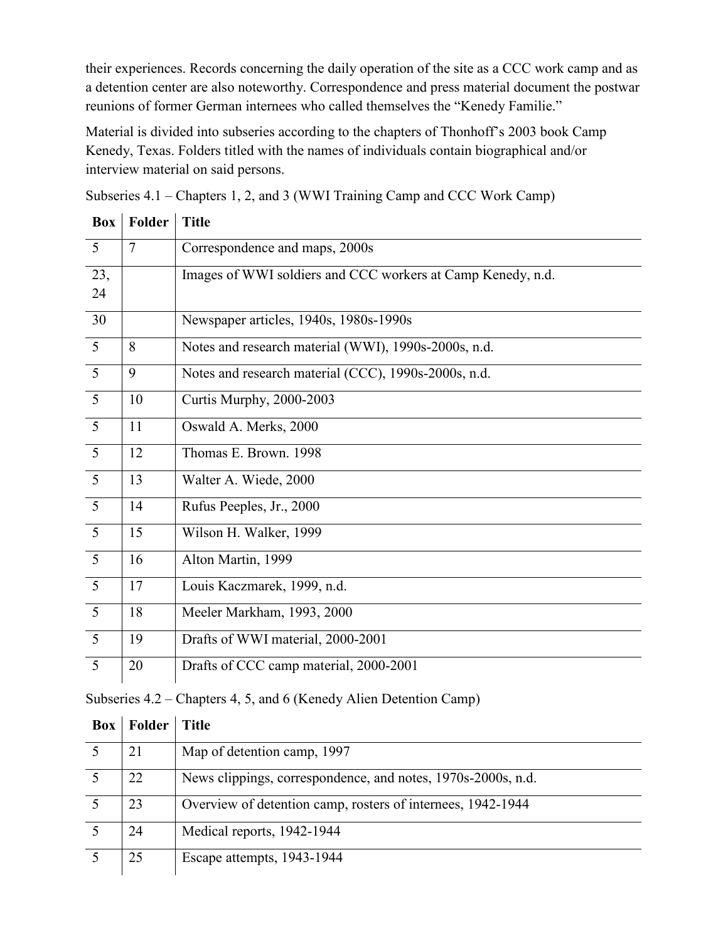their experiences. Records concerning the daily operation of the site as a CCC work camp and as a detention center are also noteworthy. Correspondence and press material document the postwar reunions of former German internees who called themselves the "Kenedy Familie."

Material is divided into subseries according to the chapters of Thonhoff's 2003 book Camp Kenedy, Texas. Folders titled with the names of individuals contain biographical and/or interview material on said persons.

| <b>Box</b>      | Folder | <b>Title</b>                                                |
|-----------------|--------|-------------------------------------------------------------|
| 5               | $\tau$ | Correspondence and maps, 2000s                              |
| 23,<br>24       |        | Images of WWI soldiers and CCC workers at Camp Kenedy, n.d. |
| 30              |        | Newspaper articles, 1940s, 1980s-1990s                      |
| 5               | 8      | Notes and research material (WWI), 1990s-2000s, n.d.        |
| 5               | 9      | Notes and research material (CCC), 1990s-2000s, n.d.        |
| 5               | 10     | Curtis Murphy, 2000-2003                                    |
| $\overline{5}$  | 11     | Oswald A. Merks, 2000                                       |
| $\overline{5}$  | 12     | Thomas E. Brown. 1998                                       |
| $5\overline{)}$ | 13     | Walter A. Wiede, 2000                                       |
| $5\overline{)}$ | 14     | Rufus Peeples, Jr., 2000                                    |
| 5               | 15     | Wilson H. Walker, 1999                                      |
| 5               | 16     | Alton Martin, 1999                                          |
| 5               | 17     | Louis Kaczmarek, 1999, n.d.                                 |
| 5               | 18     | Meeler Markham, 1993, 2000                                  |
| 5               | 19     | Drafts of WWI material, 2000-2001                           |
| $5\overline{)}$ | 20     | Drafts of CCC camp material, 2000-2001                      |

Subseries 4.1 – Chapters 1, 2, and 3 (WWI Training Camp and CCC Work Camp)

| Subseries 4.2 – Chapters 4, 5, and 6 (Kenedy Alien Detention Camp) |  |  |  |
|--------------------------------------------------------------------|--|--|--|
|--------------------------------------------------------------------|--|--|--|

| <b>Box</b> | Folder | <b>Title</b>                                                 |
|------------|--------|--------------------------------------------------------------|
|            | 21     | Map of detention camp, 1997                                  |
|            | 22     | News clippings, correspondence, and notes, 1970s-2000s, n.d. |
|            | 23     | Overview of detention camp, rosters of internees, 1942-1944  |
|            | 24     | Medical reports, 1942-1944                                   |
|            | 25     | Escape attempts, 1943-1944                                   |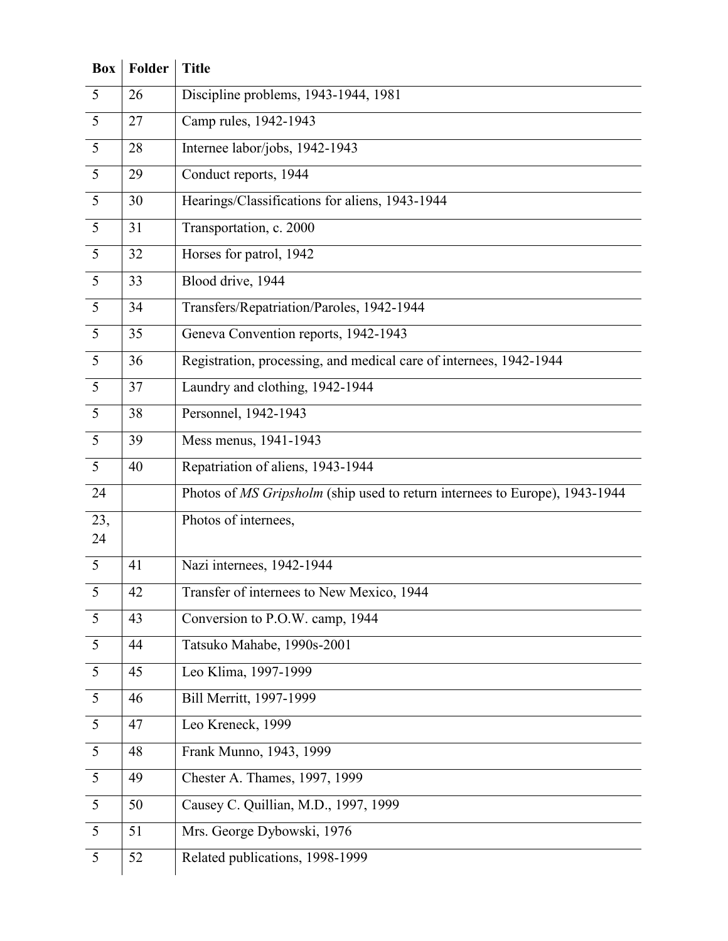| Box             | Folder | <b>Title</b>                                                                |
|-----------------|--------|-----------------------------------------------------------------------------|
| $5\overline{)}$ | 26     | Discipline problems, 1943-1944, 1981                                        |
| 5               | 27     | Camp rules, 1942-1943                                                       |
| $\overline{5}$  | 28     | Internee labor/jobs, 1942-1943                                              |
| 5               | 29     | Conduct reports, 1944                                                       |
| $\overline{5}$  | 30     | Hearings/Classifications for aliens, 1943-1944                              |
| 5               | 31     | Transportation, c. 2000                                                     |
| $\overline{5}$  | 32     | Horses for patrol, 1942                                                     |
| $\overline{5}$  | 33     | Blood drive, 1944                                                           |
| 5               | 34     | Transfers/Repatriation/Paroles, 1942-1944                                   |
| 5               | 35     | Geneva Convention reports, 1942-1943                                        |
| 5               | 36     | Registration, processing, and medical care of internees, 1942-1944          |
| 5               | 37     | Laundry and clothing, 1942-1944                                             |
| 5               | 38     | Personnel, 1942-1943                                                        |
| 5               | 39     | Mess menus, 1941-1943                                                       |
| 5               | 40     | Repatriation of aliens, 1943-1944                                           |
| 24              |        | Photos of MS Gripsholm (ship used to return internees to Europe), 1943-1944 |
| 23,<br>24       |        | Photos of internees,                                                        |
| $\overline{5}$  | 41     | Nazi internees, 1942-1944                                                   |
| 5               | 42     | Transfer of internees to New Mexico, 1944                                   |
| 5               | 43     | Conversion to P.O.W. camp, 1944                                             |
| 5               | 44     | Tatsuko Mahabe, 1990s-2001                                                  |
| 5               | 45     | Leo Klima, 1997-1999                                                        |
| $5\overline{)}$ | 46     | Bill Merritt, 1997-1999                                                     |
| $\overline{5}$  | 47     | Leo Kreneck, 1999                                                           |
| 5               | 48     | Frank Munno, 1943, 1999                                                     |
| 5               | 49     | Chester A. Thames, 1997, 1999                                               |
| 5               | 50     | Causey C. Quillian, M.D., 1997, 1999                                        |
| 5               | 51     | Mrs. George Dybowski, 1976                                                  |
| 5               | 52     | Related publications, 1998-1999                                             |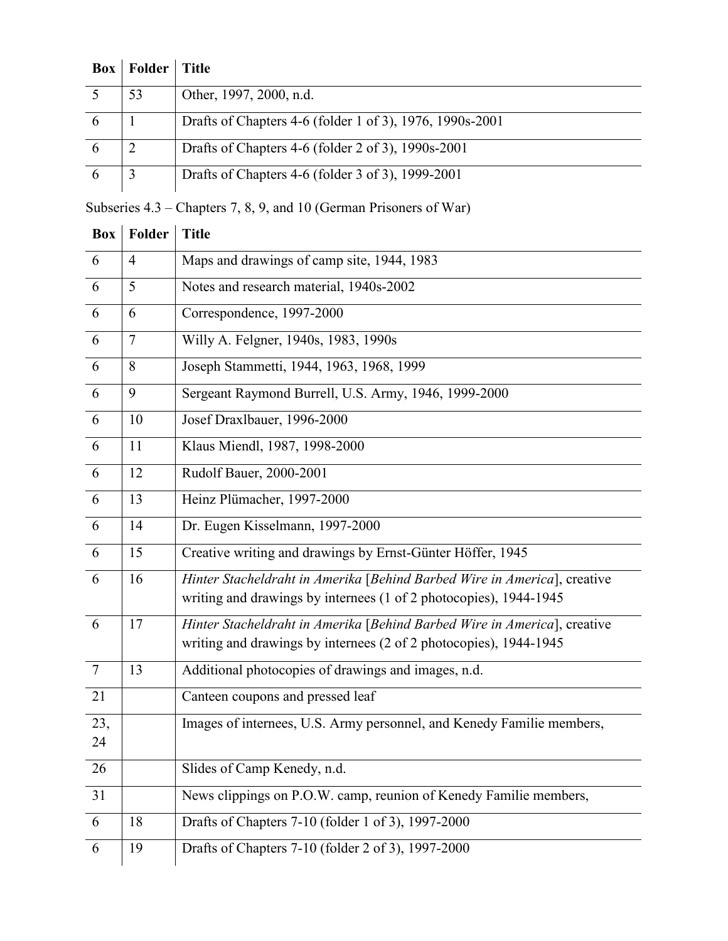| <b>Box</b> | Folder | <b>Title</b>                                             |
|------------|--------|----------------------------------------------------------|
|            | 53     | Other, 1997, 2000, n.d.                                  |
| 6          |        | Drafts of Chapters 4-6 (folder 1 of 3), 1976, 1990s-2001 |
| 6          |        | Drafts of Chapters 4-6 (folder 2 of 3), 1990s-2001       |
|            |        | Drafts of Chapters 4-6 (folder 3 of 3), 1999-2001        |

Subseries 4.3 – Chapters 7, 8, 9, and 10 (German Prisoners of War)

| <b>Box</b>      | Folder         | <b>Title</b>                                                                                                                                  |
|-----------------|----------------|-----------------------------------------------------------------------------------------------------------------------------------------------|
| 6               | $\overline{4}$ | Maps and drawings of camp site, 1944, 1983                                                                                                    |
| 6               | 5              | Notes and research material, 1940s-2002                                                                                                       |
| 6               | 6              | Correspondence, 1997-2000                                                                                                                     |
| 6               | $\tau$         | Willy A. Felgner, 1940s, 1983, 1990s                                                                                                          |
| 6               | 8              | Joseph Stammetti, 1944, 1963, 1968, 1999                                                                                                      |
| 6               | 9              | Sergeant Raymond Burrell, U.S. Army, 1946, 1999-2000                                                                                          |
| 6               | 10             | Josef Draxlbauer, 1996-2000                                                                                                                   |
| 6               | 11             | Klaus Miendl, 1987, 1998-2000                                                                                                                 |
| 6               | 12             | Rudolf Bauer, 2000-2001                                                                                                                       |
| 6               | 13             | Heinz Plümacher, 1997-2000                                                                                                                    |
| 6               | 14             | Dr. Eugen Kisselmann, 1997-2000                                                                                                               |
| 6               | 15             | Creative writing and drawings by Ernst-Günter Höffer, 1945                                                                                    |
| 6               | 16             | Hinter Stacheldraht in Amerika [Behind Barbed Wire in America], creative<br>writing and drawings by internees (1 of 2 photocopies), 1944-1945 |
| 6               | 17             | Hinter Stacheldraht in Amerika [Behind Barbed Wire in America], creative<br>writing and drawings by internees (2 of 2 photocopies), 1944-1945 |
| $7\phantom{.0}$ | 13             | Additional photocopies of drawings and images, n.d.                                                                                           |
| 21              |                | Canteen coupons and pressed leaf                                                                                                              |
| 23,<br>24       |                | Images of internees, U.S. Army personnel, and Kenedy Familie members,                                                                         |
| 26              |                | Slides of Camp Kenedy, n.d.                                                                                                                   |
| 31              |                | News clippings on P.O.W. camp, reunion of Kenedy Familie members,                                                                             |
| 6               | 18             | Drafts of Chapters 7-10 (folder 1 of 3), 1997-2000                                                                                            |
| 6               | 19             | Drafts of Chapters 7-10 (folder 2 of 3), 1997-2000                                                                                            |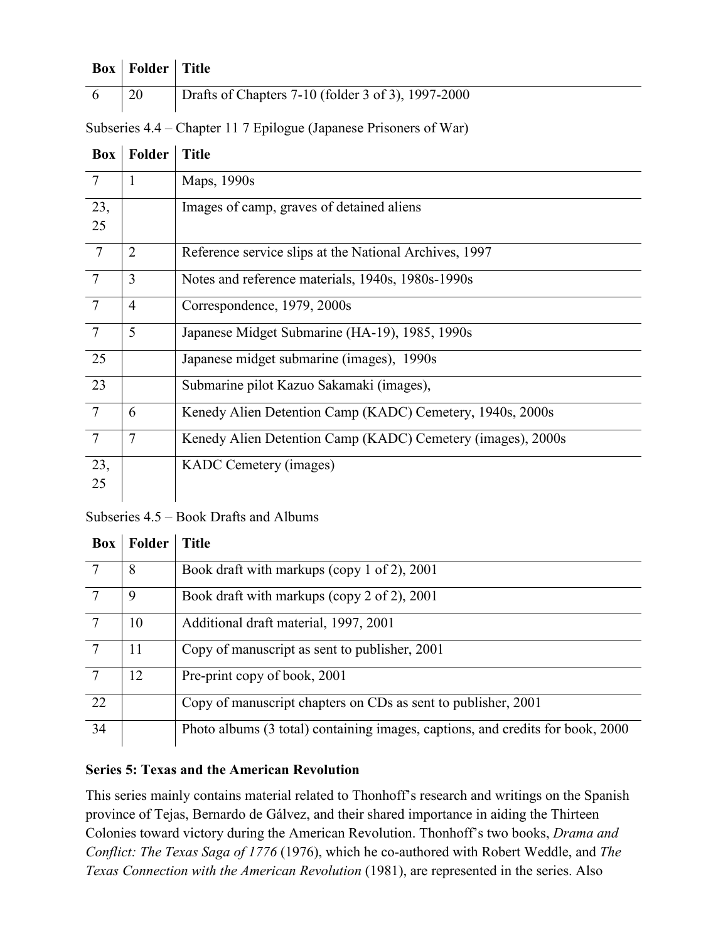| <b>Box</b>   Folder   Title |                                                    |
|-----------------------------|----------------------------------------------------|
| <sup>20</sup>               | Drafts of Chapters 7-10 (folder 3 of 3), 1997-2000 |

Subseries 4.4 – Chapter 11 7 Epilogue (Japanese Prisoners of War)

| <b>Box</b>      | <b>Folder</b>  | <b>Title</b>                                                |
|-----------------|----------------|-------------------------------------------------------------|
| $\overline{7}$  | 1              | Maps, 1990s                                                 |
| 23,<br>25       |                | Images of camp, graves of detained aliens                   |
| $\overline{7}$  | $\overline{2}$ | Reference service slips at the National Archives, 1997      |
| $7\phantom{.0}$ | 3              | Notes and reference materials, 1940s, 1980s-1990s           |
| $\overline{7}$  | $\overline{4}$ | Correspondence, 1979, 2000s                                 |
| $\overline{7}$  | 5              | Japanese Midget Submarine (HA-19), 1985, 1990s              |
| 25              |                | Japanese midget submarine (images), 1990s                   |
| 23              |                | Submarine pilot Kazuo Sakamaki (images),                    |
| $\overline{7}$  | 6              | Kenedy Alien Detention Camp (KADC) Cemetery, 1940s, 2000s   |
| $\overline{7}$  | 7              | Kenedy Alien Detention Camp (KADC) Cemetery (images), 2000s |
| 23,             |                | KADC Cemetery (images)                                      |
| 25              |                |                                                             |

Subseries 4.5 – Book Drafts and Albums

| <b>Box</b> | Folder | <b>Title</b>                                                                   |
|------------|--------|--------------------------------------------------------------------------------|
|            | 8      | Book draft with markups (copy 1 of 2), 2001                                    |
|            | 9      | Book draft with markups (copy 2 of 2), 2001                                    |
|            | 10     | Additional draft material, 1997, 2001                                          |
|            | 11     | Copy of manuscript as sent to publisher, 2001                                  |
| $\tau$     | 12     | Pre-print copy of book, 2001                                                   |
| 22         |        | Copy of manuscript chapters on CDs as sent to publisher, 2001                  |
| 34         |        | Photo albums (3 total) containing images, captions, and credits for book, 2000 |

### **Series 5: Texas and the American Revolution**

This series mainly contains material related to Thonhoff's research and writings on the Spanish province of Tejas, Bernardo de Gálvez, and their shared importance in aiding the Thirteen Colonies toward victory during the American Revolution. Thonhoff's two books, *Drama and Conflict: The Texas Saga of 1776* (1976), which he co-authored with Robert Weddle, and *The Texas Connection with the American Revolution* (1981), are represented in the series. Also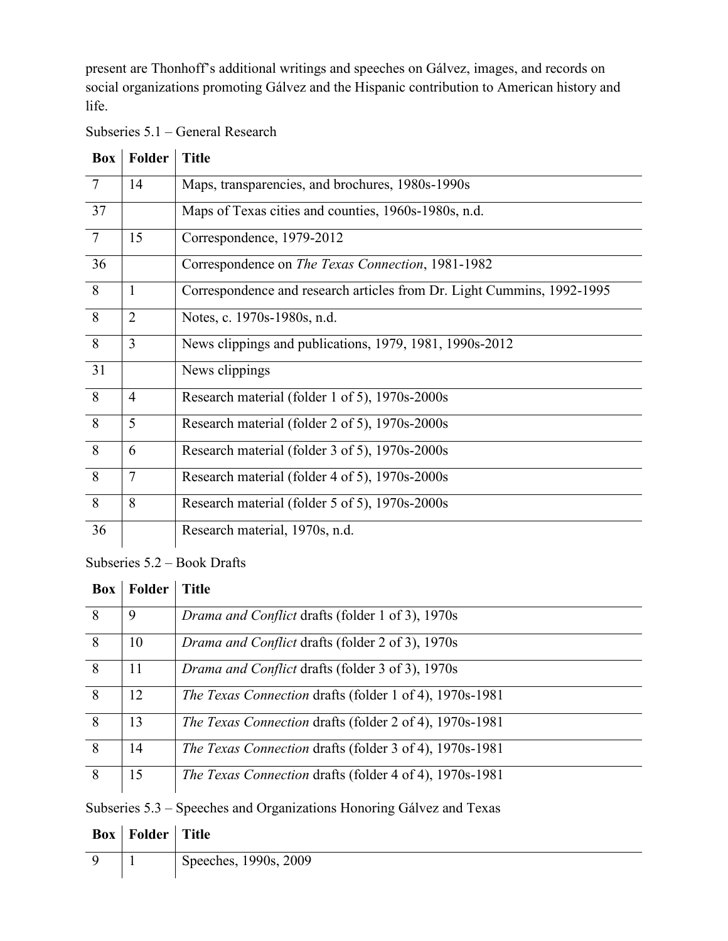present are Thonhoff's additional writings and speeches on Gálvez, images, and records on social organizations promoting Gálvez and the Hispanic contribution to American history and life.

| Subseries 5.1 – General Research |  |  |
|----------------------------------|--|--|
|                                  |  |  |

| <b>Box</b>      | Folder         | <b>Title</b>                                                           |
|-----------------|----------------|------------------------------------------------------------------------|
| $7\phantom{.0}$ | 14             | Maps, transparencies, and brochures, 1980s-1990s                       |
| 37              |                | Maps of Texas cities and counties, 1960s-1980s, n.d.                   |
| $7\phantom{.0}$ | 15             | Correspondence, 1979-2012                                              |
| 36              |                | Correspondence on <i>The Texas Connection</i> , 1981-1982              |
| 8               | 1              | Correspondence and research articles from Dr. Light Cummins, 1992-1995 |
| 8               | $\overline{2}$ | Notes, c. 1970s-1980s, n.d.                                            |
| 8               | 3              | News clippings and publications, 1979, 1981, 1990s-2012                |
| 31              |                | News clippings                                                         |
| 8               | $\overline{4}$ | Research material (folder 1 of 5), 1970s-2000s                         |
| 8               | 5              | Research material (folder 2 of 5), 1970s-2000s                         |
| 8               | 6              | Research material (folder 3 of 5), 1970s-2000s                         |
| 8               | $\overline{7}$ | Research material (folder 4 of 5), 1970s-2000s                         |
| 8               | 8              | Research material (folder 5 of 5), 1970s-2000s                         |
| 36              |                | Research material, 1970s, n.d.                                         |

Subseries 5.2 – Book Drafts

| <b>Box</b> | Folder | <b>Title</b>                                                   |
|------------|--------|----------------------------------------------------------------|
| 8          | 9      | <i>Drama and Conflict drafts (folder 1 of 3), 1970s</i>        |
| 8          | 10     | <i>Drama and Conflict drafts (folder 2 of 3), 1970s</i>        |
| 8          | 11     | Drama and Conflict drafts (folder 3 of 3), 1970s               |
| 8          | 12     | <i>The Texas Connection drafts (folder 1 of 4), 1970s-1981</i> |
| 8          | 13     | The Texas Connection drafts (folder 2 of 4), 1970s-1981        |
| 8          | 14     | <i>The Texas Connection drafts (folder 3 of 4), 1970s-1981</i> |
| 8          | 15     | <i>The Texas Connection drafts (folder 4 of 4), 1970s-1981</i> |

Subseries 5.3 – Speeches and Organizations Honoring Gálvez and Texas

| <b>Box</b>   Folder   Title |                       |
|-----------------------------|-----------------------|
|                             | Speeches, 1990s, 2009 |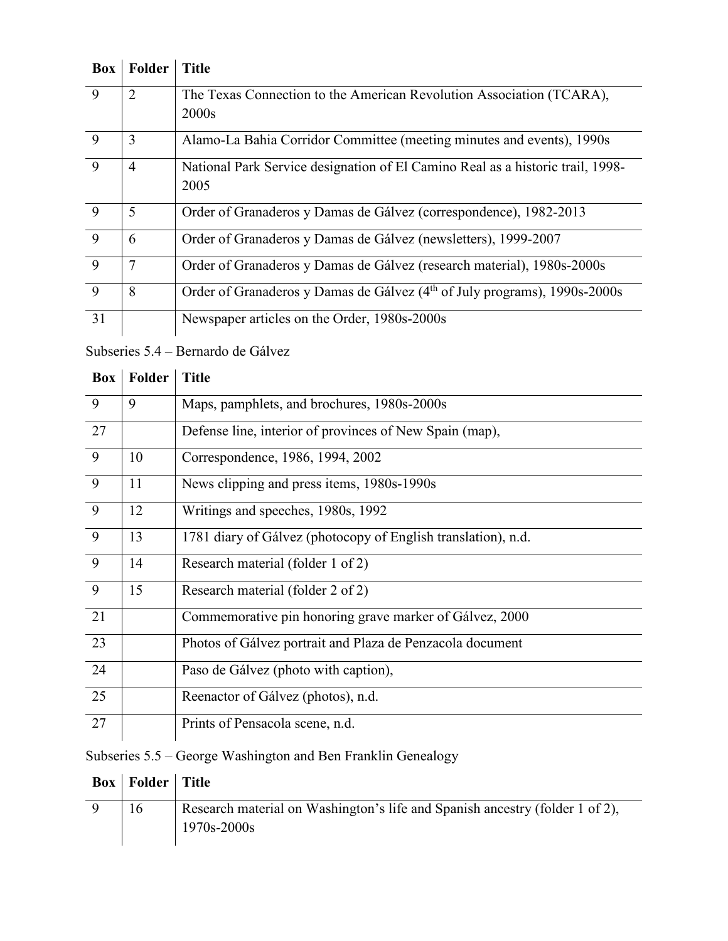| Box            | Folder         | <b>Title</b>                                                                          |
|----------------|----------------|---------------------------------------------------------------------------------------|
| 9              | $\overline{2}$ | The Texas Connection to the American Revolution Association (TCARA),                  |
|                |                | 2000s                                                                                 |
| 9              | 3              | Alamo-La Bahia Corridor Committee (meeting minutes and events), 1990s                 |
| 9              | $\overline{4}$ | National Park Service designation of El Camino Real as a historic trail, 1998-        |
|                |                | 2005                                                                                  |
| 9              | 5              | Order of Granaderos y Damas de Gálvez (correspondence), 1982-2013                     |
| 9              | 6              | Order of Granaderos y Damas de Gálvez (newsletters), 1999-2007                        |
| $\overline{9}$ | 7              | Order of Granaderos y Damas de Gálvez (research material), 1980s-2000s                |
| 9              | 8              | Order of Granaderos y Damas de Gálvez (4 <sup>th</sup> of July programs), 1990s-2000s |
| 31             |                | Newspaper articles on the Order, 1980s-2000s                                          |

## Subseries 5.4 – Bernardo de Gálvez

| <b>Box</b>     | <b>Folder</b> | <b>Title</b>                                                  |
|----------------|---------------|---------------------------------------------------------------|
| 9              | 9             | Maps, pamphlets, and brochures, 1980s-2000s                   |
| 27             |               | Defense line, interior of provinces of New Spain (map),       |
| 9              | 10            | Correspondence, 1986, 1994, 2002                              |
| 9              | 11            | News clipping and press items, 1980s-1990s                    |
| 9              | 12            | Writings and speeches, 1980s, 1992                            |
| $\overline{9}$ | 13            | 1781 diary of Gálvez (photocopy of English translation), n.d. |
| 9              | 14            | Research material (folder 1 of 2)                             |
| 9              | 15            | Research material (folder 2 of 2)                             |
| 21             |               | Commemorative pin honoring grave marker of Gálvez, 2000       |
| 23             |               | Photos of Gálvez portrait and Plaza de Penzacola document     |
| 24             |               | Paso de Gálvez (photo with caption),                          |
| 25             |               | Reenactor of Gálvez (photos), n.d.                            |
| 27             |               | Prints of Pensacola scene, n.d.                               |

## Subseries 5.5 – George Washington and Ben Franklin Genealogy

| <b>Box</b>   Folder   Title |                                                                                                 |
|-----------------------------|-------------------------------------------------------------------------------------------------|
|                             | Research material on Washington's life and Spanish ancestry (folder 1 of 2),<br>$1970s - 2000s$ |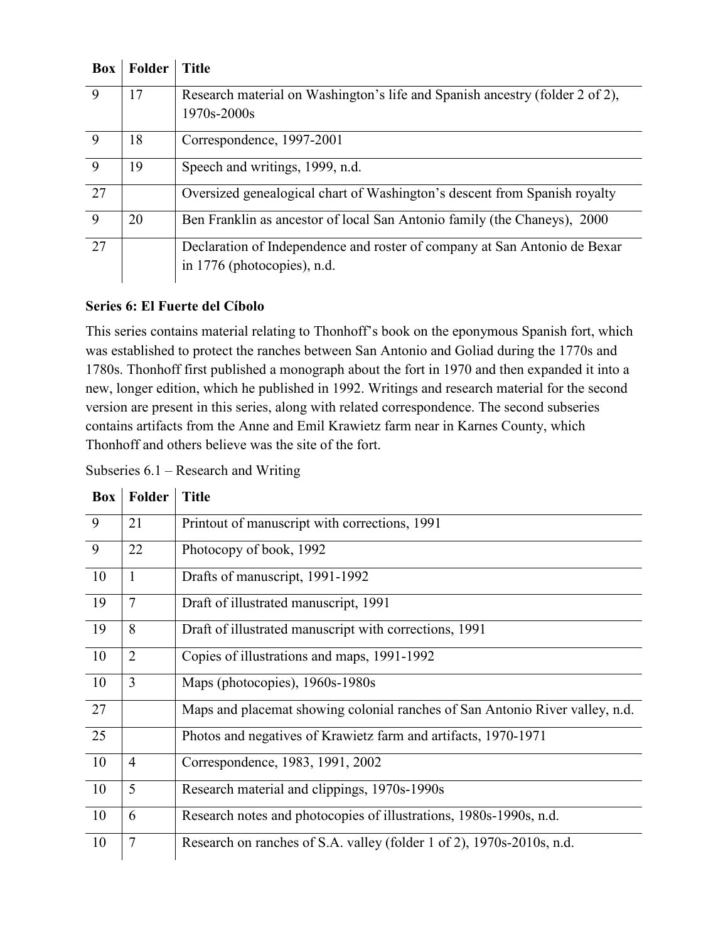| <b>Box</b> | Folder | <b>Title</b>                                                                 |
|------------|--------|------------------------------------------------------------------------------|
| 9          | 17     | Research material on Washington's life and Spanish ancestry (folder 2 of 2), |
|            |        | 1970s-2000s                                                                  |
| 9          | 18     | Correspondence, 1997-2001                                                    |
| 9          | 19     | Speech and writings, 1999, n.d.                                              |
| 27         |        | Oversized genealogical chart of Washington's descent from Spanish royalty    |
| 9          | 20     | Ben Franklin as ancestor of local San Antonio family (the Chaneys), 2000     |
| 27         |        | Declaration of Independence and roster of company at San Antonio de Bexar    |
|            |        | in 1776 (photocopies), n.d.                                                  |

#### **Series 6: El Fuerte del Cíbolo**

This series contains material relating to Thonhoff's book on the eponymous Spanish fort, which was established to protect the ranches between San Antonio and Goliad during the 1770s and 1780s. Thonhoff first published a monograph about the fort in 1970 and then expanded it into a new, longer edition, which he published in 1992. Writings and research material for the second version are present in this series, along with related correspondence. The second subseries contains artifacts from the Anne and Emil Krawietz farm near in Karnes County, which Thonhoff and others believe was the site of the fort.

| Subseries $6.1$ – Research and Writing |  |
|----------------------------------------|--|
|----------------------------------------|--|

| <b>Box</b> | Folder         | <b>Title</b>                                                                 |
|------------|----------------|------------------------------------------------------------------------------|
| 9          | 21             | Printout of manuscript with corrections, 1991                                |
| 9          | 22             | Photocopy of book, 1992                                                      |
| 10         | $\mathbf{1}$   | Drafts of manuscript, 1991-1992                                              |
| 19         | $\overline{7}$ | Draft of illustrated manuscript, 1991                                        |
| 19         | 8              | Draft of illustrated manuscript with corrections, 1991                       |
| 10         | $\overline{2}$ | Copies of illustrations and maps, 1991-1992                                  |
| 10         | 3              | Maps (photocopies), 1960s-1980s                                              |
| 27         |                | Maps and placemat showing colonial ranches of San Antonio River valley, n.d. |
| 25         |                | Photos and negatives of Krawietz farm and artifacts, 1970-1971               |
| 10         | $\overline{4}$ | Correspondence, 1983, 1991, 2002                                             |
| 10         | 5              | Research material and clippings, 1970s-1990s                                 |
| 10         | 6              | Research notes and photocopies of illustrations, 1980s-1990s, n.d.           |
| 10         | $\tau$         | Research on ranches of S.A. valley (folder 1 of 2), 1970s-2010s, n.d.        |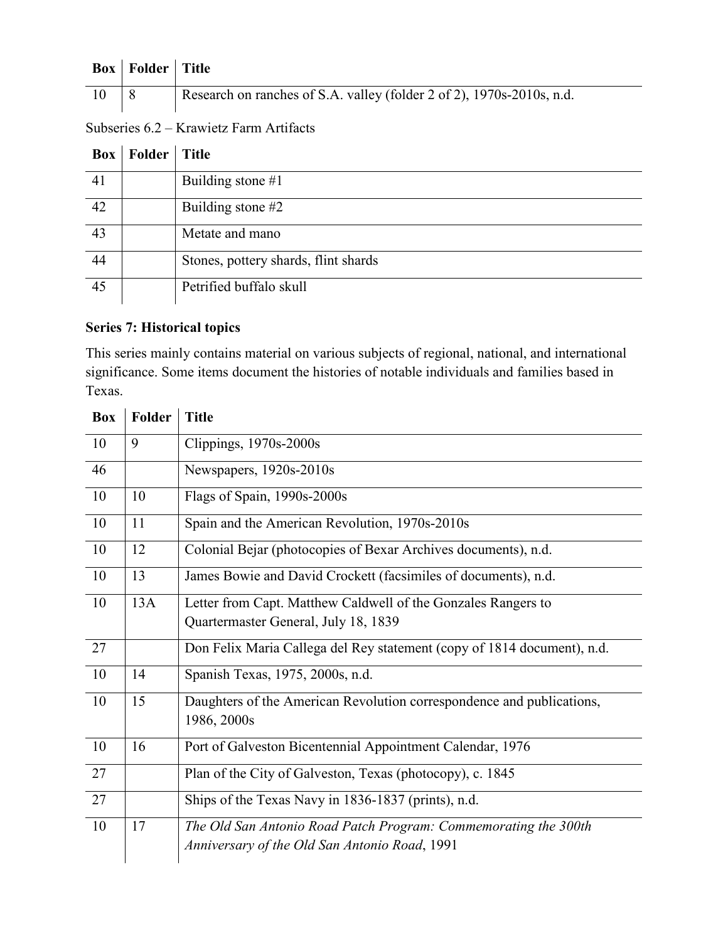|    | <b>Box</b>   Folder   Title |                                                                       |
|----|-----------------------------|-----------------------------------------------------------------------|
| 10 |                             | Research on ranches of S.A. valley (folder 2 of 2), 1970s-2010s, n.d. |

| Subseries 6.2 – Krawietz Farm Artifacts |
|-----------------------------------------|
|-----------------------------------------|

|    | <b>Box</b>   Folder | <b>Title</b>                         |
|----|---------------------|--------------------------------------|
| 41 |                     | Building stone $#1$                  |
| 42 |                     | Building stone $#2$                  |
| 43 |                     | Metate and mano                      |
| 44 |                     | Stones, pottery shards, flint shards |
| 45 |                     | Petrified buffalo skull              |

### **Series 7: Historical topics**

This series mainly contains material on various subjects of regional, national, and international significance. Some items document the histories of notable individuals and families based in Texas.

| <b>Box</b> | Folder | <b>Title</b>                                                            |
|------------|--------|-------------------------------------------------------------------------|
| 10         | 9      | Clippings, 1970s-2000s                                                  |
| 46         |        | Newspapers, 1920s-2010s                                                 |
| 10         | 10     | Flags of Spain, 1990s-2000s                                             |
| 10         | 11     | Spain and the American Revolution, 1970s-2010s                          |
| 10         | 12     | Colonial Bejar (photocopies of Bexar Archives documents), n.d.          |
| 10         | 13     | James Bowie and David Crockett (facsimiles of documents), n.d.          |
| 10         | 13A    | Letter from Capt. Matthew Caldwell of the Gonzales Rangers to           |
|            |        | Quartermaster General, July 18, 1839                                    |
| 27         |        | Don Felix Maria Callega del Rey statement (copy of 1814 document), n.d. |
| 10         | 14     | Spanish Texas, 1975, 2000s, n.d.                                        |
| 10         | 15     | Daughters of the American Revolution correspondence and publications,   |
|            |        | 1986, 2000s                                                             |
| 10         | 16     | Port of Galveston Bicentennial Appointment Calendar, 1976               |
| 27         |        | Plan of the City of Galveston, Texas (photocopy), c. 1845               |
| 27         |        | Ships of the Texas Navy in 1836-1837 (prints), n.d.                     |
| 10         | 17     | The Old San Antonio Road Patch Program: Commemorating the 300th         |
|            |        | Anniversary of the Old San Antonio Road, 1991                           |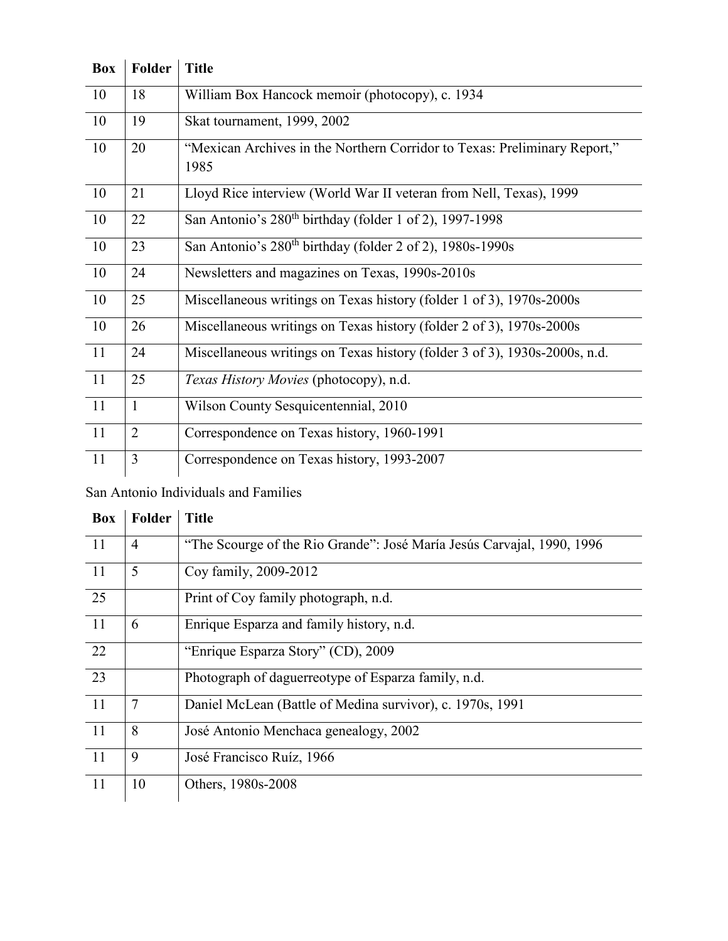| <b>Box</b> | <b>Folder</b>  | <b>Title</b>                                                                      |
|------------|----------------|-----------------------------------------------------------------------------------|
| 10         | 18             | William Box Hancock memoir (photocopy), c. 1934                                   |
| 10         | 19             | Skat tournament, 1999, 2002                                                       |
| 10         | 20             | "Mexican Archives in the Northern Corridor to Texas: Preliminary Report,"<br>1985 |
| 10         | 21             | Lloyd Rice interview (World War II veteran from Nell, Texas), 1999                |
| 10         | 22             | San Antonio's 280 <sup>th</sup> birthday (folder 1 of 2), 1997-1998               |
| 10         | 23             | San Antonio's 280 <sup>th</sup> birthday (folder 2 of 2), 1980s-1990s             |
| 10         | 24             | Newsletters and magazines on Texas, 1990s-2010s                                   |
| 10         | 25             | Miscellaneous writings on Texas history (folder 1 of 3), 1970s-2000s              |
| 10         | 26             | Miscellaneous writings on Texas history (folder 2 of 3), 1970s-2000s              |
| 11         | 24             | Miscellaneous writings on Texas history (folder 3 of 3), 1930s-2000s, n.d.        |
| 11         | 25             | Texas History Movies (photocopy), n.d.                                            |
| 11         | $\mathbf{1}$   | Wilson County Sesquicentennial, 2010                                              |
| 11         | $\overline{2}$ | Correspondence on Texas history, 1960-1991                                        |
| 11         | $\overline{3}$ | Correspondence on Texas history, 1993-2007                                        |

## San Antonio Individuals and Families

| <b>Box</b>    | Folder         | <b>Title</b>                                                           |
|---------------|----------------|------------------------------------------------------------------------|
| <sup>11</sup> | $\overline{4}$ | "The Scourge of the Rio Grande": José María Jesús Carvajal, 1990, 1996 |
| 11            | 5              | Coy family, 2009-2012                                                  |
| 25            |                | Print of Coy family photograph, n.d.                                   |
| 11            | 6              | Enrique Esparza and family history, n.d.                               |
| 22            |                | "Enrique Esparza Story" (CD), 2009                                     |
| 23            |                | Photograph of daguerreotype of Esparza family, n.d.                    |
| 11            | $\overline{7}$ | Daniel McLean (Battle of Medina survivor), c. 1970s, 1991              |
| <sup>11</sup> | 8              | José Antonio Menchaca genealogy, 2002                                  |
| 11            | 9              | José Francisco Ruíz, 1966                                              |
| 11            | 10             | Others, 1980s-2008                                                     |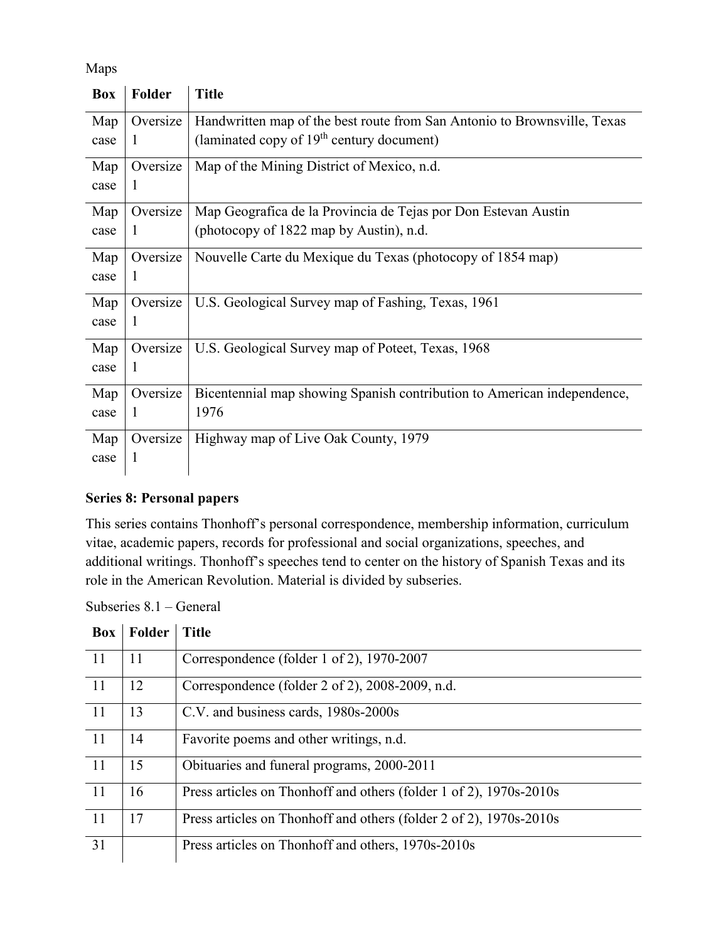Maps

| Box  | Folder       | <b>Title</b>                                                             |
|------|--------------|--------------------------------------------------------------------------|
| Map  | Oversize     | Handwritten map of the best route from San Antonio to Brownsville, Texas |
| case | $\mathbf{I}$ | (laminated copy of 19 <sup>th</sup> century document)                    |
| Map  | Oversize     | Map of the Mining District of Mexico, n.d.                               |
| case | 1            |                                                                          |
| Map  | Oversize     | Map Geografica de la Provincia de Tejas por Don Estevan Austin           |
| case | 1            | (photocopy of 1822 map by Austin), n.d.                                  |
| Map  | Oversize     | Nouvelle Carte du Mexique du Texas (photocopy of 1854 map)               |
| case | <sup>1</sup> |                                                                          |
| Map  | Oversize     | U.S. Geological Survey map of Fashing, Texas, 1961                       |
| case | 1            |                                                                          |
| Map  | Oversize     | U.S. Geological Survey map of Poteet, Texas, 1968                        |
| case | 1            |                                                                          |
| Map  | Oversize     | Bicentennial map showing Spanish contribution to American independence,  |
| case |              | 1976                                                                     |
| Map  | Oversize     | Highway map of Live Oak County, 1979                                     |
| case |              |                                                                          |
|      |              |                                                                          |

#### **Series 8: Personal papers**

This series contains Thonhoff's personal correspondence, membership information, curriculum vitae, academic papers, records for professional and social organizations, speeches, and additional writings. Thonhoff's speeches tend to center on the history of Spanish Texas and its role in the American Revolution. Material is divided by subseries.

Subseries 8.1 – General

| <b>Box</b>    | Folder | <b>Title</b>                                                       |
|---------------|--------|--------------------------------------------------------------------|
| -11           | 11     | Correspondence (folder 1 of 2), 1970-2007                          |
| <sup>11</sup> | 12     | Correspondence (folder 2 of 2), 2008-2009, n.d.                    |
| 11            | 13     | C.V. and business cards, 1980s-2000s                               |
| <sup>11</sup> | 14     | Favorite poems and other writings, n.d.                            |
| <sup>11</sup> | 15     | Obituaries and funeral programs, 2000-2011                         |
| 11            | 16     | Press articles on Thonhoff and others (folder 1 of 2), 1970s-2010s |
| <sup>11</sup> | 17     | Press articles on Thonhoff and others (folder 2 of 2), 1970s-2010s |
| 31            |        | Press articles on Thonhoff and others, 1970s-2010s                 |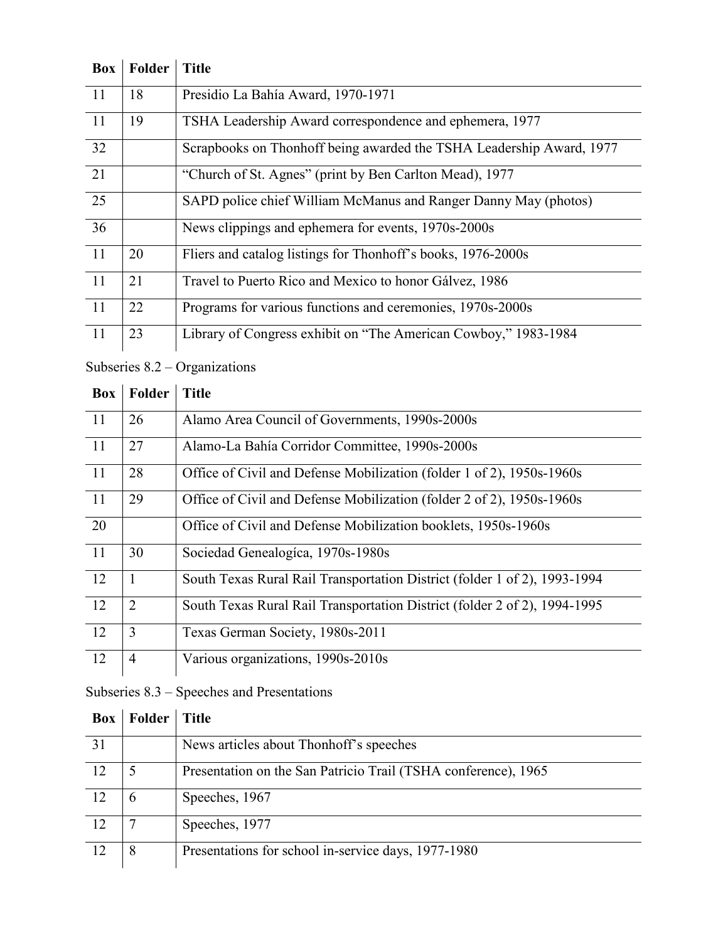| <b>Box</b>    | Folder | <b>Title</b>                                                         |
|---------------|--------|----------------------------------------------------------------------|
| <sup>11</sup> | 18     | Presidio La Bahía Award, 1970-1971                                   |
| <sup>11</sup> | 19     | TSHA Leadership Award correspondence and ephemera, 1977              |
| 32            |        | Scrapbooks on Thonhoff being awarded the TSHA Leadership Award, 1977 |
| 21            |        | "Church of St. Agnes" (print by Ben Carlton Mead), 1977              |
| 25            |        | SAPD police chief William McManus and Ranger Danny May (photos)      |
| 36            |        | News clippings and ephemera for events, 1970s-2000s                  |
| <sup>11</sup> | 20     | Fliers and catalog listings for Thonhoff's books, 1976-2000s         |
| 11            | 21     | Travel to Puerto Rico and Mexico to honor Gálvez, 1986               |
| 11            | 22     | Programs for various functions and ceremonies, 1970s-2000s           |
| 11            | 23     | Library of Congress exhibit on "The American Cowboy," 1983-1984      |

Subseries 8.2 – Organizations

| Box             | Folder         | <b>Title</b>                                                              |
|-----------------|----------------|---------------------------------------------------------------------------|
| -11             | 26             | Alamo Area Council of Governments, 1990s-2000s                            |
| 11              | 27             | Alamo-La Bahía Corridor Committee, 1990s-2000s                            |
| $\overline{11}$ | 28             | Office of Civil and Defense Mobilization (folder 1 of 2), 1950s-1960s     |
| <sup>11</sup>   | 29             | Office of Civil and Defense Mobilization (folder 2 of 2), 1950s-1960s     |
| 20              |                | Office of Civil and Defense Mobilization booklets, 1950s-1960s            |
| 11              | 30             | Sociedad Genealogíca, 1970s-1980s                                         |
| <sup>12</sup>   | $\mathbf{1}$   | South Texas Rural Rail Transportation District (folder 1 of 2), 1993-1994 |
| 12              | $\overline{2}$ | South Texas Rural Rail Transportation District (folder 2 of 2), 1994-1995 |
| 12              | 3              | Texas German Society, 1980s-2011                                          |
| 12              | $\overline{4}$ | Various organizations, 1990s-2010s                                        |

## Subseries 8.3 – Speeches and Presentations

| Box | Folder | <b>Title</b>                                                   |
|-----|--------|----------------------------------------------------------------|
| 31  |        | News articles about Thonhoff's speeches                        |
| 12  | 5      | Presentation on the San Patricio Trail (TSHA conference), 1965 |
| 12  | 6      | Speeches, 1967                                                 |
| 12  |        | Speeches, 1977                                                 |
| 12  | 8      | Presentations for school in-service days, 1977-1980            |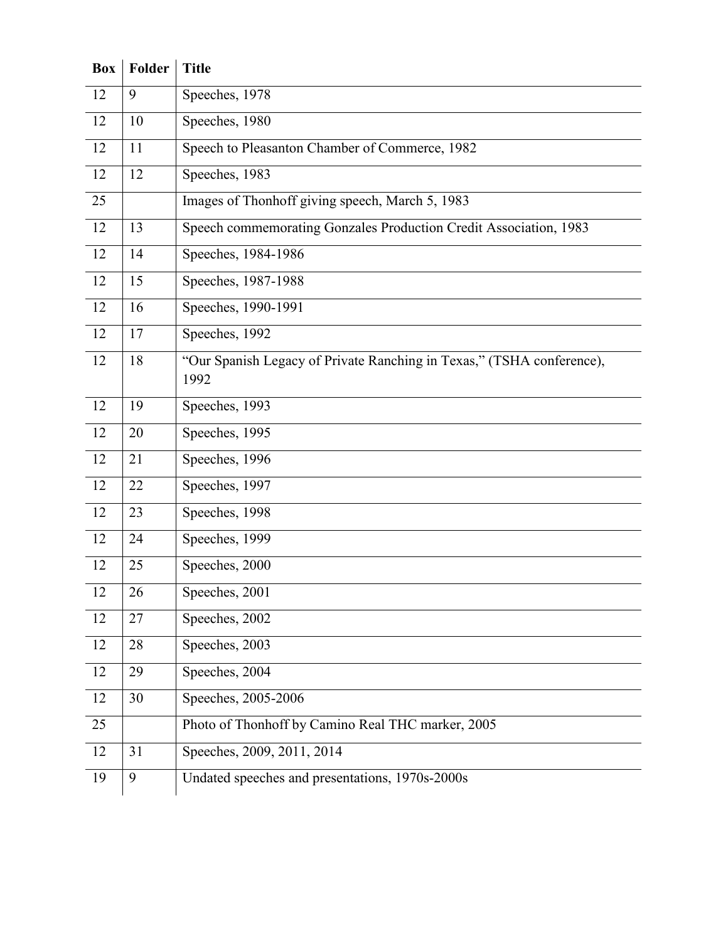| <b>Box</b> | Folder | <b>Title</b>                                                                  |
|------------|--------|-------------------------------------------------------------------------------|
| 12         | 9      | Speeches, 1978                                                                |
| 12         | 10     | Speeches, 1980                                                                |
| 12         | 11     | Speech to Pleasanton Chamber of Commerce, 1982                                |
| 12         | 12     | Speeches, 1983                                                                |
| 25         |        | Images of Thonhoff giving speech, March 5, 1983                               |
| 12         | 13     | Speech commemorating Gonzales Production Credit Association, 1983             |
| 12         | 14     | Speeches, 1984-1986                                                           |
| 12         | 15     | Speeches, 1987-1988                                                           |
| 12         | 16     | Speeches, 1990-1991                                                           |
| 12         | 17     | Speeches, 1992                                                                |
| 12         | 18     | "Our Spanish Legacy of Private Ranching in Texas," (TSHA conference),<br>1992 |
| 12         | 19     | Speeches, 1993                                                                |
| 12         | 20     | Speeches, 1995                                                                |
| 12         | 21     | Speeches, $1996$                                                              |
| 12         | 22     | Speeches, 1997                                                                |
| 12         | 23     | Speeches, 1998                                                                |
| 12         | 24     | Speeches, 1999                                                                |
| 12         | 25     | Speeches, 2000                                                                |
| 12         | 26     | Speeches, 2001                                                                |
| 12         | 27     | Speeches, 2002                                                                |
| 12         | 28     | Speeches, 2003                                                                |
| 12         | 29     | Speeches, 2004                                                                |
| 12         | 30     | Speeches, 2005-2006                                                           |
| 25         |        | Photo of Thonhoff by Camino Real THC marker, 2005                             |
| 12         | 31     | Speeches, 2009, 2011, 2014                                                    |
| 19         | 9      | Undated speeches and presentations, 1970s-2000s                               |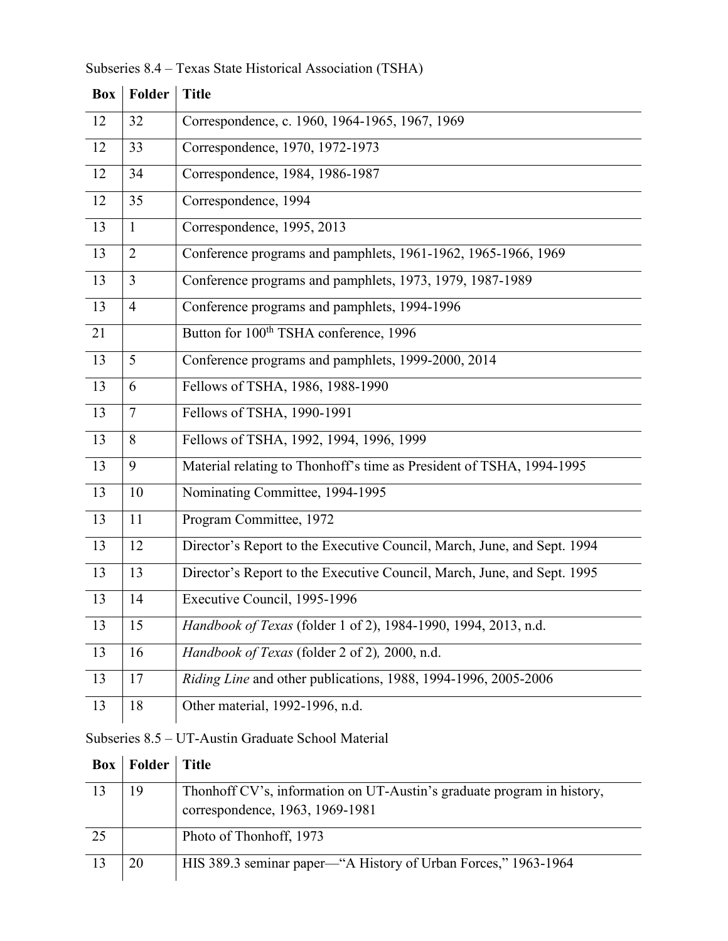|                 | <b>Box</b> Folder | <b>Title</b>                                                            |
|-----------------|-------------------|-------------------------------------------------------------------------|
| 12              | 32                | Correspondence, c. 1960, 1964-1965, 1967, 1969                          |
| 12              | 33                | Correspondence, 1970, 1972-1973                                         |
| 12              | 34                | Correspondence, 1984, 1986-1987                                         |
| 12              | 35                | Correspondence, 1994                                                    |
| 13              | $\mathbf{1}$      | Correspondence, 1995, 2013                                              |
| 13              | $\overline{2}$    | Conference programs and pamphlets, 1961-1962, 1965-1966, 1969           |
| 13              | $\overline{3}$    | Conference programs and pamphlets, 1973, 1979, 1987-1989                |
| 13              | $\overline{4}$    | Conference programs and pamphlets, 1994-1996                            |
| 21              |                   | Button for 100 <sup>th</sup> TSHA conference, 1996                      |
| 13              | 5                 | Conference programs and pamphlets, 1999-2000, 2014                      |
| 13              | 6                 | Fellows of TSHA, 1986, 1988-1990                                        |
| 13              | $\tau$            | Fellows of TSHA, 1990-1991                                              |
| 13              | 8                 | Fellows of TSHA, 1992, 1994, 1996, 1999                                 |
| 13              | 9                 | Material relating to Thonhoff's time as President of TSHA, 1994-1995    |
| $\overline{13}$ | 10                | Nominating Committee, 1994-1995                                         |
| 13              | 11                | Program Committee, 1972                                                 |
| 13              | 12                | Director's Report to the Executive Council, March, June, and Sept. 1994 |
| 13              | 13                | Director's Report to the Executive Council, March, June, and Sept. 1995 |
| 13              | 14                | Executive Council, 1995-1996                                            |
| 13              | 15                | Handbook of Texas (folder 1 of 2), 1984-1990, 1994, 2013, n.d.          |
| 13              | 16                | Handbook of Texas (folder 2 of 2), 2000, n.d.                           |
| 13              | 17                | Riding Line and other publications, 1988, 1994-1996, 2005-2006          |
| 13              | 18                | Other material, 1992-1996, n.d.                                         |

Subseries 8.4 – Texas State Historical Association (TSHA)

Subseries 8.5 – UT-Austin Graduate School Material

| <b>Box</b> | Folder   Title |                                                                        |
|------------|----------------|------------------------------------------------------------------------|
| 13         | 19             | Thonhoff CV's, information on UT-Austin's graduate program in history, |
|            |                | correspondence, 1963, 1969-1981                                        |
| 25         |                | Photo of Thonhoff, 1973                                                |
| 13         | 20             | HIS 389.3 seminar paper—"A History of Urban Forces," 1963-1964         |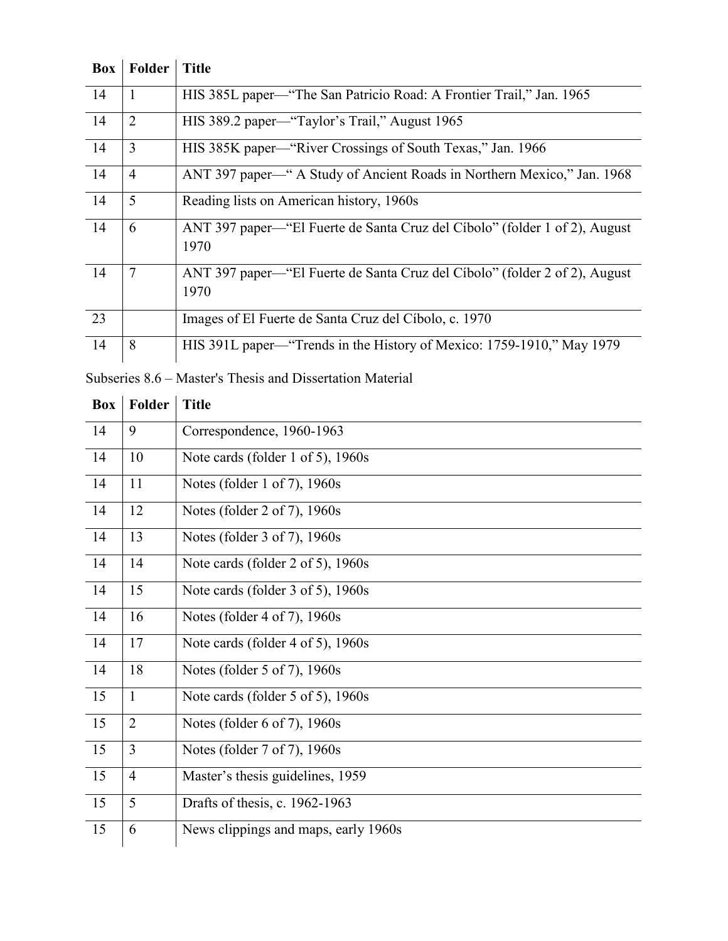| <b>Box</b> | Folder         | <b>Title</b>                                                                       |
|------------|----------------|------------------------------------------------------------------------------------|
| 14         | $\mathbf{1}$   | HIS 385L paper—"The San Patricio Road: A Frontier Trail," Jan. 1965                |
| 14         | $\overline{2}$ | HIS 389.2 paper—"Taylor's Trail," August 1965                                      |
| 14         | 3              | HIS 385K paper—"River Crossings of South Texas," Jan. 1966                         |
| 14         | $\overline{4}$ | ANT 397 paper—" A Study of Ancient Roads in Northern Mexico," Jan. 1968            |
| 14         | 5              | Reading lists on American history, 1960s                                           |
| 14         | 6              | ANT 397 paper—"El Fuerte de Santa Cruz del Cíbolo" (folder 1 of 2), August<br>1970 |
| 14         | $\overline{7}$ | ANT 397 paper—"El Fuerte de Santa Cruz del Cíbolo" (folder 2 of 2), August<br>1970 |
| 23         |                | Images of El Fuerte de Santa Cruz del Cíbolo, c. 1970                              |
| 14         | 8              | HIS 391L paper—"Trends in the History of Mexico: 1759-1910," May 1979              |

Subseries 8.6 – Master's Thesis and Dissertation Material

| <b>Box</b>      | <b>Folder</b>  | <b>Title</b>                         |
|-----------------|----------------|--------------------------------------|
| 14              | 9              | Correspondence, 1960-1963            |
| 14              | 10             | Note cards (folder 1 of 5), 1960s    |
| 14              | 11             | Notes (folder 1 of 7), 1960s         |
| 14              | 12             | Notes (folder 2 of 7), 1960s         |
| 14              | 13             | Notes (folder 3 of 7), 1960s         |
| 14              | 14             | Note cards (folder 2 of 5), 1960s    |
| 14              | 15             | Note cards (folder 3 of 5), 1960s    |
| 14              | 16             | Notes (folder 4 of 7), 1960s         |
| 14              | 17             | Note cards (folder 4 of 5), 1960s    |
| 14              | 18             | Notes (folder 5 of 7), 1960s         |
| 15              | $\mathbf{1}$   | Note cards (folder 5 of 5), 1960s    |
| $\overline{15}$ | $\overline{2}$ | Notes (folder 6 of 7), 1960s         |
| 15              | $\overline{3}$ | Notes (folder 7 of 7), 1960s         |
| 15              | $\overline{4}$ | Master's thesis guidelines, 1959     |
| 15              | 5              | Drafts of thesis, c. 1962-1963       |
| 15              | 6              | News clippings and maps, early 1960s |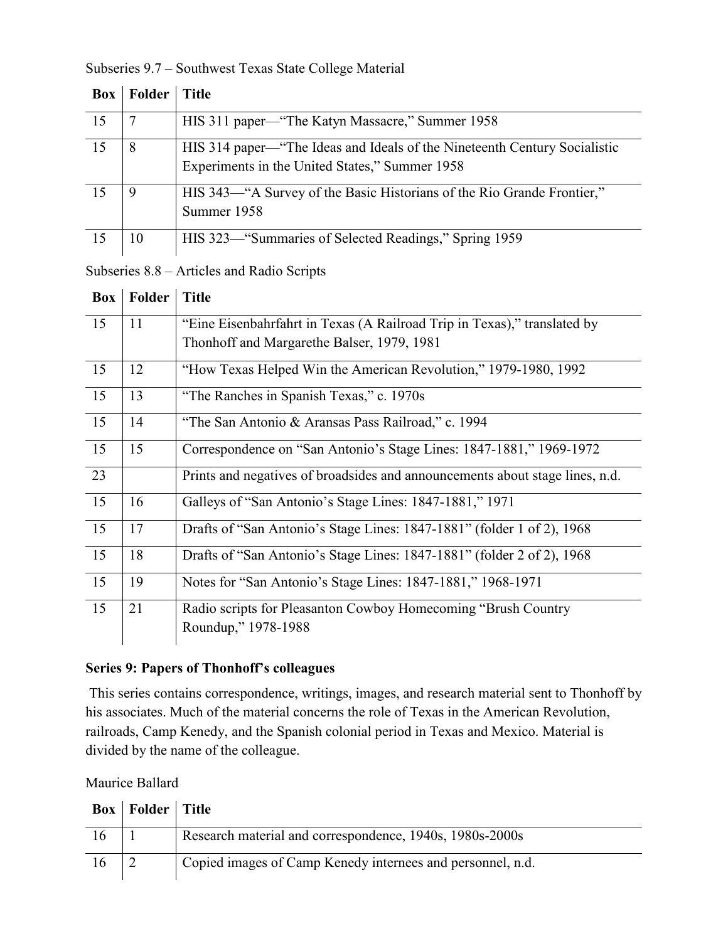| <b>Box</b> | Folder | Title                                                                                                                       |
|------------|--------|-----------------------------------------------------------------------------------------------------------------------------|
| 15         |        | HIS 311 paper—"The Katyn Massacre," Summer 1958                                                                             |
| 15         | 8      | HIS 314 paper—"The Ideas and Ideals of the Nineteenth Century Socialistic<br>Experiments in the United States," Summer 1958 |
| 15         | 9      | HIS 343—"A Survey of the Basic Historians of the Rio Grande Frontier,"<br>Summer 1958                                       |
| 15         | 10     | HIS 323—"Summaries of Selected Readings," Spring 1959                                                                       |

#### Subseries 9.7 – Southwest Texas State College Material

Subseries 8.8 – Articles and Radio Scripts

| Box | Folder | <b>Title</b>                                                                 |
|-----|--------|------------------------------------------------------------------------------|
| 15  | 11     | "Eine Eisenbahrfahrt in Texas (A Railroad Trip in Texas)," translated by     |
|     |        | Thonhoff and Margarethe Balser, 1979, 1981                                   |
| 15  | 12     | "How Texas Helped Win the American Revolution," 1979-1980, 1992              |
| 15  | 13     | "The Ranches in Spanish Texas," c. 1970s                                     |
| 15  | 14     | "The San Antonio & Aransas Pass Railroad," c. 1994                           |
| 15  | 15     | Correspondence on "San Antonio's Stage Lines: 1847-1881," 1969-1972          |
| 23  |        | Prints and negatives of broadsides and announcements about stage lines, n.d. |
| 15  | 16     | Galleys of "San Antonio's Stage Lines: 1847-1881," 1971                      |
| 15  | 17     | Drafts of "San Antonio's Stage Lines: 1847-1881" (folder 1 of 2), 1968       |
| 15  | 18     | Drafts of "San Antonio's Stage Lines: 1847-1881" (folder 2 of 2), 1968       |
| 15  | 19     | Notes for "San Antonio's Stage Lines: 1847-1881," 1968-1971                  |
| 15  | 21     | Radio scripts for Pleasanton Cowboy Homecoming "Brush Country"               |
|     |        | Roundup," 1978-1988                                                          |

### **Series 9: Papers of Thonhoff's colleagues**

This series contains correspondence, writings, images, and research material sent to Thonhoff by his associates. Much of the material concerns the role of Texas in the American Revolution, railroads, Camp Kenedy, and the Spanish colonial period in Texas and Mexico. Material is divided by the name of the colleague.

Maurice Ballard

|    | <b>Box</b>   Folder   Title |                                                            |
|----|-----------------------------|------------------------------------------------------------|
|    |                             | Research material and correspondence, 1940s, 1980s-2000s   |
| 16 |                             | Copied images of Camp Kenedy internees and personnel, n.d. |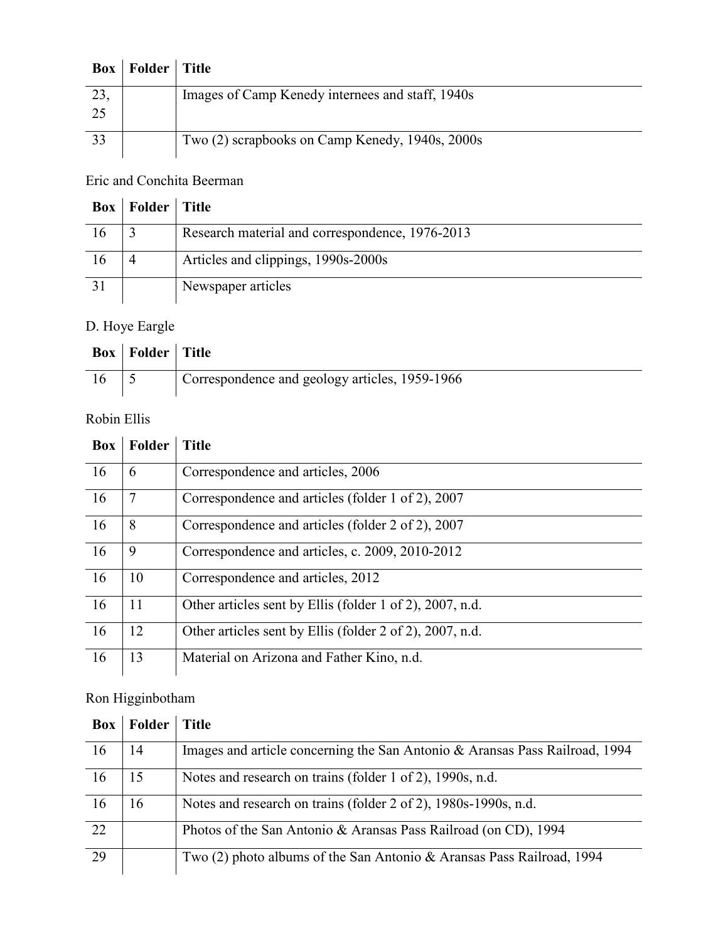|     | <b>Box</b>   Folder   Title |                                                  |
|-----|-----------------------------|--------------------------------------------------|
| 23, |                             | Images of Camp Kenedy internees and staff, 1940s |
| 25  |                             |                                                  |
| 33  |                             | Two (2) scrapbooks on Camp Kenedy, 1940s, 2000s  |

## Eric and Conchita Beerman

|    | <b>Box</b>   Folder   Title |                                                 |
|----|-----------------------------|-------------------------------------------------|
| 16 |                             | Research material and correspondence, 1976-2013 |
| 16 |                             | Articles and clippings, 1990s-2000s             |
| 31 |                             | Newspaper articles                              |

## D. Hoye Eargle

| <b>Box</b>   Folder   Title |                                                |
|-----------------------------|------------------------------------------------|
|                             | Correspondence and geology articles, 1959-1966 |

## Robin Ellis

| <b>Box</b> | <b>Folder</b> | <b>Title</b>                                             |
|------------|---------------|----------------------------------------------------------|
| 16         | 6             | Correspondence and articles, 2006                        |
| 16         | 7             | Correspondence and articles (folder 1 of 2), 2007        |
| 16         | 8             | Correspondence and articles (folder 2 of 2), 2007        |
| <b>16</b>  | 9             | Correspondence and articles, c. 2009, 2010-2012          |
| 16         | 10            | Correspondence and articles, 2012                        |
| 16         | 11            | Other articles sent by Ellis (folder 1 of 2), 2007, n.d. |
| 16         | 12            | Other articles sent by Ellis (folder 2 of 2), 2007, n.d. |
| 16         | 13            | Material on Arizona and Father Kino, n.d.                |

## Ron Higginbotham

| Box | Folder | <b>Title</b>                                                                |
|-----|--------|-----------------------------------------------------------------------------|
| 16  | 14     | Images and article concerning the San Antonio & Aransas Pass Railroad, 1994 |
| 16  | 15     | Notes and research on trains (folder 1 of 2), 1990s, n.d.                   |
| 16  | 16     | Notes and research on trains (folder 2 of 2), 1980s-1990s, n.d.             |
| 22  |        | Photos of the San Antonio & Aransas Pass Railroad (on CD), 1994             |
| 29  |        | Two (2) photo albums of the San Antonio & Aransas Pass Railroad, 1994       |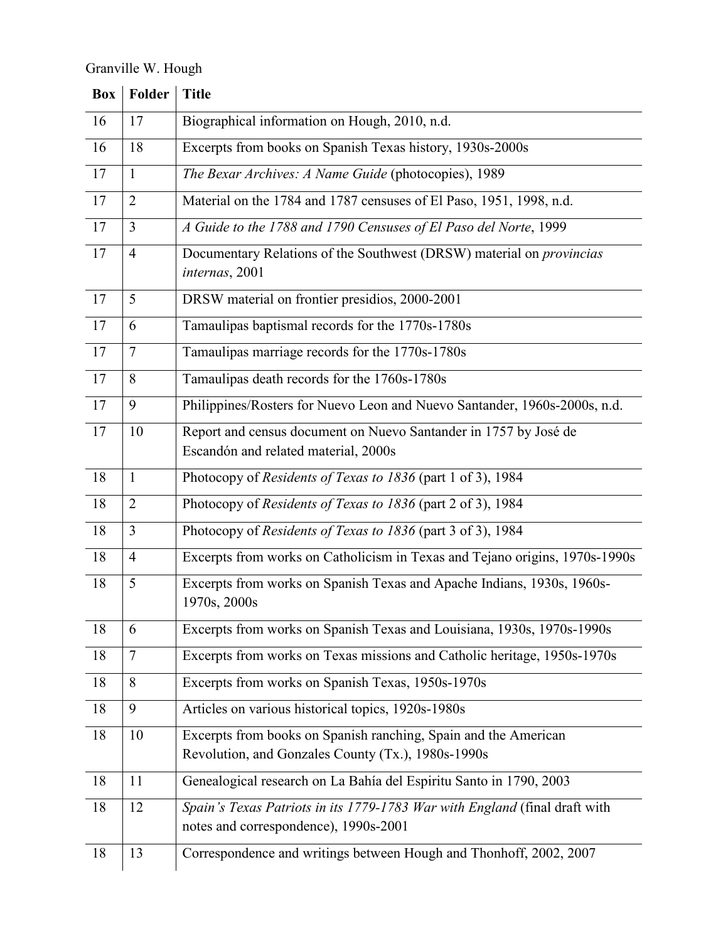Granville W. Hough

|                 | <b>Box</b>   Folder | <b>Title</b>                                                                                                          |
|-----------------|---------------------|-----------------------------------------------------------------------------------------------------------------------|
| 16              | 17                  | Biographical information on Hough, 2010, n.d.                                                                         |
| 16              | 18                  | Excerpts from books on Spanish Texas history, 1930s-2000s                                                             |
| 17              | $\mathbf{1}$        | The Bexar Archives: A Name Guide (photocopies), 1989                                                                  |
| 17              | $\overline{2}$      | Material on the 1784 and 1787 censuses of El Paso, 1951, 1998, n.d.                                                   |
| 17              | $\overline{3}$      | A Guide to the 1788 and 1790 Censuses of El Paso del Norte, 1999                                                      |
| 17              | $\overline{4}$      | Documentary Relations of the Southwest (DRSW) material on <i>provincias</i><br>internas, 2001                         |
| 17              | 5                   | DRSW material on frontier presidios, 2000-2001                                                                        |
| 17              | 6                   | Tamaulipas baptismal records for the 1770s-1780s                                                                      |
| 17              | $\overline{7}$      | Tamaulipas marriage records for the 1770s-1780s                                                                       |
| 17              | 8                   | Tamaulipas death records for the 1760s-1780s                                                                          |
| $\overline{17}$ | 9                   | Philippines/Rosters for Nuevo Leon and Nuevo Santander, 1960s-2000s, n.d.                                             |
| 17              | 10                  | Report and census document on Nuevo Santander in 1757 by José de<br>Escandón and related material, 2000s              |
| 18              | $\mathbf{1}$        | Photocopy of Residents of Texas to 1836 (part 1 of 3), 1984                                                           |
| 18              | $\overline{2}$      | Photocopy of Residents of Texas to 1836 (part 2 of 3), 1984                                                           |
| 18              | 3                   | Photocopy of Residents of Texas to 1836 (part 3 of 3), 1984                                                           |
| 18              | $\overline{4}$      | Excerpts from works on Catholicism in Texas and Tejano origins, 1970s-1990s                                           |
| 18              | 5                   | Excerpts from works on Spanish Texas and Apache Indians, 1930s, 1960s-<br>1970s, 2000s                                |
| 18              | 6                   | Excerpts from works on Spanish Texas and Louisiana, 1930s, 1970s-1990s                                                |
| 18              | $\overline{7}$      | Excerpts from works on Texas missions and Catholic heritage, 1950s-1970s                                              |
| 18              | 8                   | Excerpts from works on Spanish Texas, 1950s-1970s                                                                     |
| 18              | 9                   | Articles on various historical topics, 1920s-1980s                                                                    |
| 18              | 10                  | Excerpts from books on Spanish ranching, Spain and the American<br>Revolution, and Gonzales County (Tx.), 1980s-1990s |
| 18              | 11                  | Genealogical research on La Bahía del Espiritu Santo in 1790, 2003                                                    |
| $18\,$          | 12                  | Spain's Texas Patriots in its 1779-1783 War with England (final draft with<br>notes and correspondence), 1990s-2001   |
| 18              | 13                  | Correspondence and writings between Hough and Thonhoff, 2002, 2007                                                    |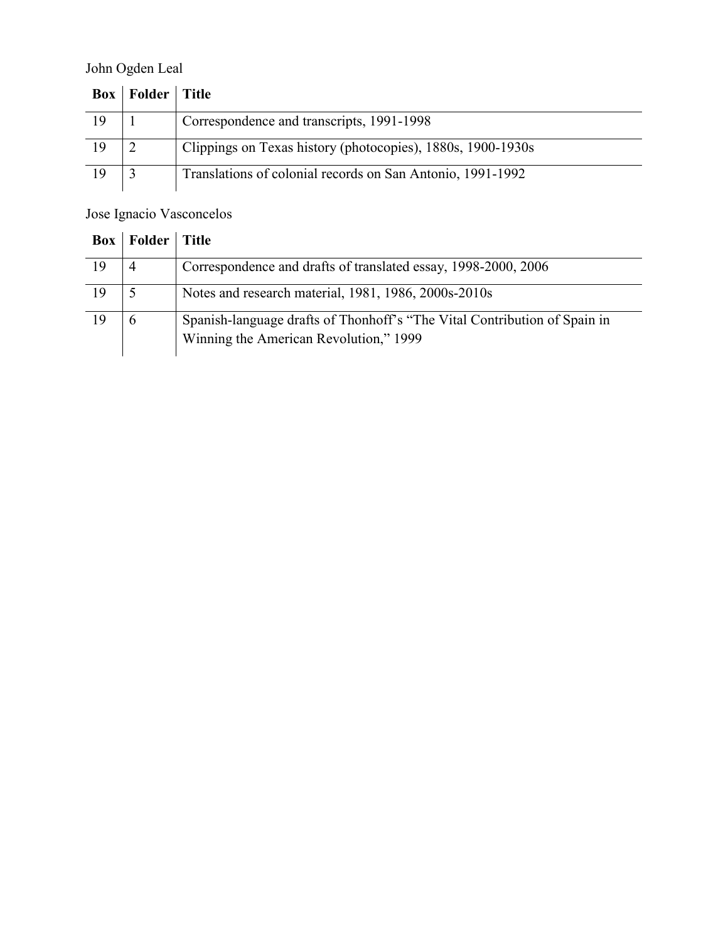## John Ogden Leal

|    | <b>Box</b>   Folder   Title |                                                             |
|----|-----------------------------|-------------------------------------------------------------|
| 19 |                             | Correspondence and transcripts, 1991-1998                   |
| 19 |                             | Clippings on Texas history (photocopies), 1880s, 1900-1930s |
| 19 |                             | Translations of colonial records on San Antonio, 1991-1992  |

## Jose Ignacio Vasconcelos

| Box | Folder         | Title                                                                                                               |
|-----|----------------|---------------------------------------------------------------------------------------------------------------------|
| 19  | $\overline{4}$ | Correspondence and drafts of translated essay, 1998-2000, 2006                                                      |
| 19  | 5              | Notes and research material, 1981, 1986, 2000s-2010s                                                                |
| 19  | 6              | Spanish-language drafts of Thonhoff's "The Vital Contribution of Spain in<br>Winning the American Revolution," 1999 |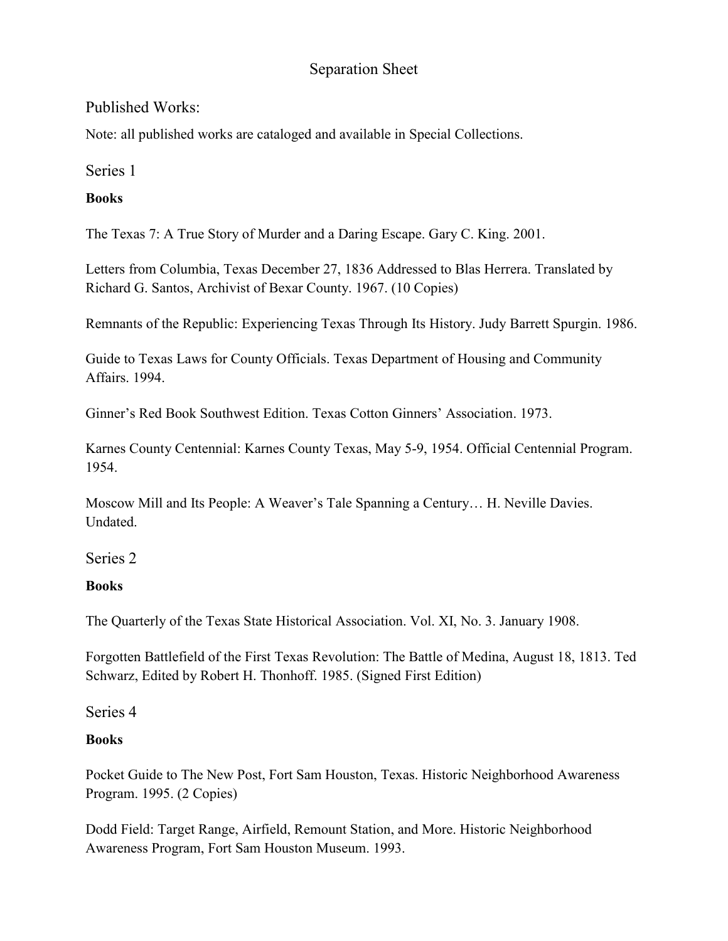## Separation Sheet

### Published Works:

Note: all published works are cataloged and available in Special Collections.

Series 1

### **Books**

The Texas 7: A True Story of Murder and a Daring Escape. Gary C. King. 2001.

Letters from Columbia, Texas December 27, 1836 Addressed to Blas Herrera. Translated by Richard G. Santos, Archivist of Bexar County. 1967. (10 Copies)

Remnants of the Republic: Experiencing Texas Through Its History. Judy Barrett Spurgin. 1986.

Guide to Texas Laws for County Officials. Texas Department of Housing and Community Affairs. 1994.

Ginner's Red Book Southwest Edition. Texas Cotton Ginners' Association. 1973.

Karnes County Centennial: Karnes County Texas, May 5-9, 1954. Official Centennial Program. 1954.

Moscow Mill and Its People: A Weaver's Tale Spanning a Century… H. Neville Davies. Undated.

Series 2

## **Books**

The Quarterly of the Texas State Historical Association. Vol. XI, No. 3. January 1908.

Forgotten Battlefield of the First Texas Revolution: The Battle of Medina, August 18, 1813. Ted Schwarz, Edited by Robert H. Thonhoff. 1985. (Signed First Edition)

Series 4

## **Books**

Pocket Guide to The New Post, Fort Sam Houston, Texas. Historic Neighborhood Awareness Program. 1995. (2 Copies)

Dodd Field: Target Range, Airfield, Remount Station, and More. Historic Neighborhood Awareness Program, Fort Sam Houston Museum. 1993.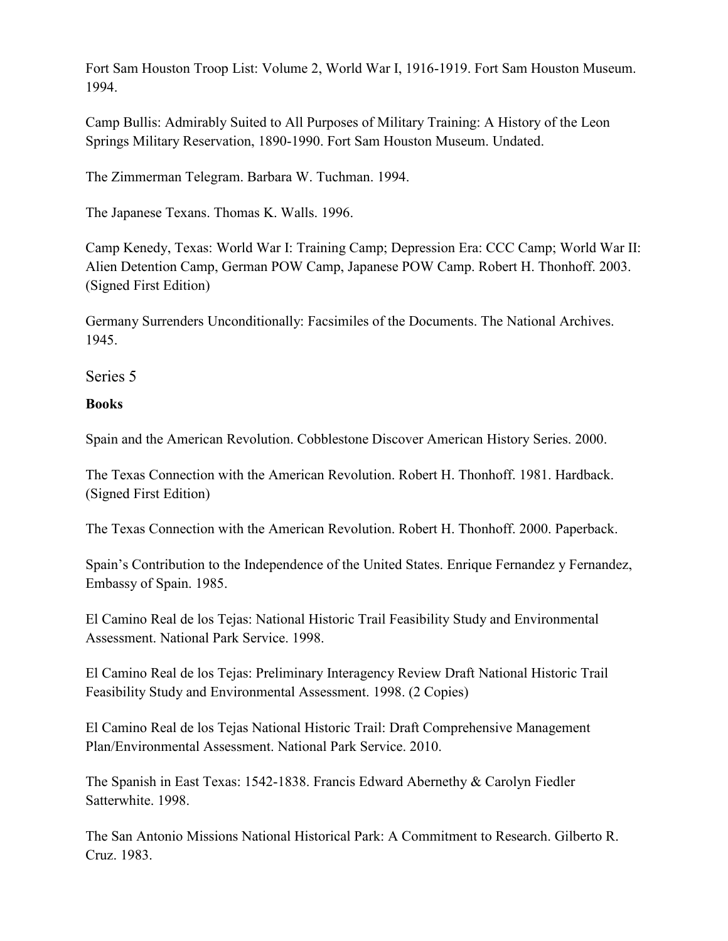Fort Sam Houston Troop List: Volume 2, World War I, 1916-1919. Fort Sam Houston Museum. 1994.

Camp Bullis: Admirably Suited to All Purposes of Military Training: A History of the Leon Springs Military Reservation, 1890-1990. Fort Sam Houston Museum. Undated.

The Zimmerman Telegram. Barbara W. Tuchman. 1994.

The Japanese Texans. Thomas K. Walls. 1996.

Camp Kenedy, Texas: World War I: Training Camp; Depression Era: CCC Camp; World War II: Alien Detention Camp, German POW Camp, Japanese POW Camp. Robert H. Thonhoff. 2003. (Signed First Edition)

Germany Surrenders Unconditionally: Facsimiles of the Documents. The National Archives. 1945.

Series 5

#### **Books**

Spain and the American Revolution. Cobblestone Discover American History Series. 2000.

The Texas Connection with the American Revolution. Robert H. Thonhoff. 1981. Hardback. (Signed First Edition)

The Texas Connection with the American Revolution. Robert H. Thonhoff. 2000. Paperback.

Spain's Contribution to the Independence of the United States. Enrique Fernandez y Fernandez, Embassy of Spain. 1985.

El Camino Real de los Tejas: National Historic Trail Feasibility Study and Environmental Assessment. National Park Service. 1998.

El Camino Real de los Tejas: Preliminary Interagency Review Draft National Historic Trail Feasibility Study and Environmental Assessment. 1998. (2 Copies)

El Camino Real de los Tejas National Historic Trail: Draft Comprehensive Management Plan/Environmental Assessment. National Park Service. 2010.

The Spanish in East Texas: 1542-1838. Francis Edward Abernethy & Carolyn Fiedler Satterwhite. 1998.

The San Antonio Missions National Historical Park: A Commitment to Research. Gilberto R. Cruz. 1983.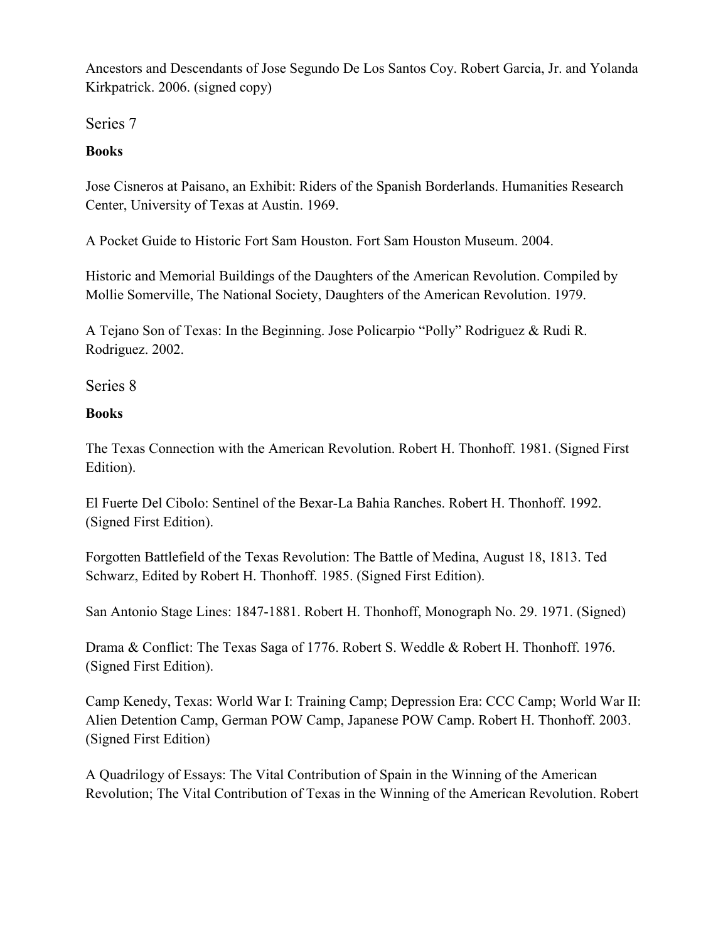Ancestors and Descendants of Jose Segundo De Los Santos Coy. Robert Garcia, Jr. and Yolanda Kirkpatrick. 2006. (signed copy)

Series 7

## **Books**

Jose Cisneros at Paisano, an Exhibit: Riders of the Spanish Borderlands. Humanities Research Center, University of Texas at Austin. 1969.

A Pocket Guide to Historic Fort Sam Houston. Fort Sam Houston Museum. 2004.

Historic and Memorial Buildings of the Daughters of the American Revolution. Compiled by Mollie Somerville, The National Society, Daughters of the American Revolution. 1979.

A Tejano Son of Texas: In the Beginning. Jose Policarpio "Polly" Rodriguez & Rudi R. Rodriguez. 2002.

Series 8

## **Books**

The Texas Connection with the American Revolution. Robert H. Thonhoff. 1981. (Signed First Edition).

El Fuerte Del Cibolo: Sentinel of the Bexar-La Bahia Ranches. Robert H. Thonhoff. 1992. (Signed First Edition).

Forgotten Battlefield of the Texas Revolution: The Battle of Medina, August 18, 1813. Ted Schwarz, Edited by Robert H. Thonhoff. 1985. (Signed First Edition).

San Antonio Stage Lines: 1847-1881. Robert H. Thonhoff, Monograph No. 29. 1971. (Signed)

Drama & Conflict: The Texas Saga of 1776. Robert S. Weddle & Robert H. Thonhoff. 1976. (Signed First Edition).

Camp Kenedy, Texas: World War I: Training Camp; Depression Era: CCC Camp; World War II: Alien Detention Camp, German POW Camp, Japanese POW Camp. Robert H. Thonhoff. 2003. (Signed First Edition)

A Quadrilogy of Essays: The Vital Contribution of Spain in the Winning of the American Revolution; The Vital Contribution of Texas in the Winning of the American Revolution. Robert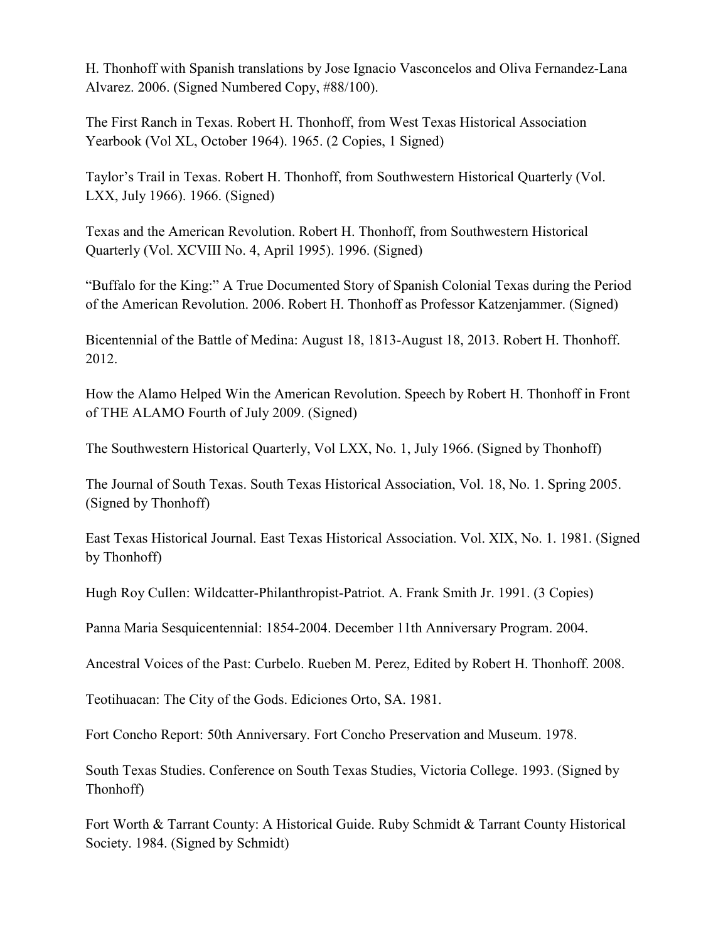H. Thonhoff with Spanish translations by Jose Ignacio Vasconcelos and Oliva Fernandez-Lana Alvarez. 2006. (Signed Numbered Copy, #88/100).

The First Ranch in Texas. Robert H. Thonhoff, from West Texas Historical Association Yearbook (Vol XL, October 1964). 1965. (2 Copies, 1 Signed)

Taylor's Trail in Texas. Robert H. Thonhoff, from Southwestern Historical Quarterly (Vol. LXX, July 1966). 1966. (Signed)

Texas and the American Revolution. Robert H. Thonhoff, from Southwestern Historical Quarterly (Vol. XCVIII No. 4, April 1995). 1996. (Signed)

"Buffalo for the King:" A True Documented Story of Spanish Colonial Texas during the Period of the American Revolution. 2006. Robert H. Thonhoff as Professor Katzenjammer. (Signed)

Bicentennial of the Battle of Medina: August 18, 1813-August 18, 2013. Robert H. Thonhoff. 2012.

How the Alamo Helped Win the American Revolution. Speech by Robert H. Thonhoff in Front of THE ALAMO Fourth of July 2009. (Signed)

The Southwestern Historical Quarterly, Vol LXX, No. 1, July 1966. (Signed by Thonhoff)

The Journal of South Texas. South Texas Historical Association, Vol. 18, No. 1. Spring 2005. (Signed by Thonhoff)

East Texas Historical Journal. East Texas Historical Association. Vol. XIX, No. 1. 1981. (Signed by Thonhoff)

Hugh Roy Cullen: Wildcatter-Philanthropist-Patriot. A. Frank Smith Jr. 1991. (3 Copies)

Panna Maria Sesquicentennial: 1854-2004. December 11th Anniversary Program. 2004.

Ancestral Voices of the Past: Curbelo. Rueben M. Perez, Edited by Robert H. Thonhoff. 2008.

Teotihuacan: The City of the Gods. Ediciones Orto, SA. 1981.

Fort Concho Report: 50th Anniversary. Fort Concho Preservation and Museum. 1978.

South Texas Studies. Conference on South Texas Studies, Victoria College. 1993. (Signed by Thonhoff)

Fort Worth & Tarrant County: A Historical Guide. Ruby Schmidt & Tarrant County Historical Society. 1984. (Signed by Schmidt)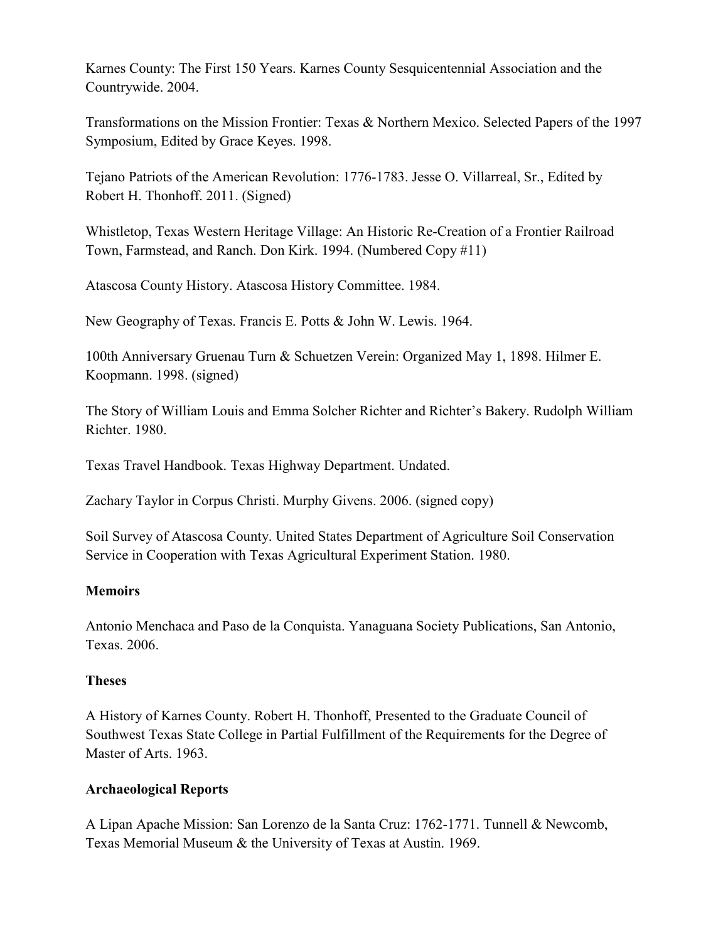Karnes County: The First 150 Years. Karnes County Sesquicentennial Association and the Countrywide. 2004.

Transformations on the Mission Frontier: Texas & Northern Mexico. Selected Papers of the 1997 Symposium, Edited by Grace Keyes. 1998.

Tejano Patriots of the American Revolution: 1776-1783. Jesse O. Villarreal, Sr., Edited by Robert H. Thonhoff. 2011. (Signed)

Whistletop, Texas Western Heritage Village: An Historic Re-Creation of a Frontier Railroad Town, Farmstead, and Ranch. Don Kirk. 1994. (Numbered Copy #11)

Atascosa County History. Atascosa History Committee. 1984.

New Geography of Texas. Francis E. Potts & John W. Lewis. 1964.

100th Anniversary Gruenau Turn & Schuetzen Verein: Organized May 1, 1898. Hilmer E. Koopmann. 1998. (signed)

The Story of William Louis and Emma Solcher Richter and Richter's Bakery. Rudolph William Richter. 1980.

Texas Travel Handbook. Texas Highway Department. Undated.

Zachary Taylor in Corpus Christi. Murphy Givens. 2006. (signed copy)

Soil Survey of Atascosa County. United States Department of Agriculture Soil Conservation Service in Cooperation with Texas Agricultural Experiment Station. 1980.

#### **Memoirs**

Antonio Menchaca and Paso de la Conquista. Yanaguana Society Publications, San Antonio, Texas. 2006.

#### **Theses**

A History of Karnes County. Robert H. Thonhoff, Presented to the Graduate Council of Southwest Texas State College in Partial Fulfillment of the Requirements for the Degree of Master of Arts. 1963.

#### **Archaeological Reports**

A Lipan Apache Mission: San Lorenzo de la Santa Cruz: 1762-1771. Tunnell & Newcomb, Texas Memorial Museum & the University of Texas at Austin. 1969.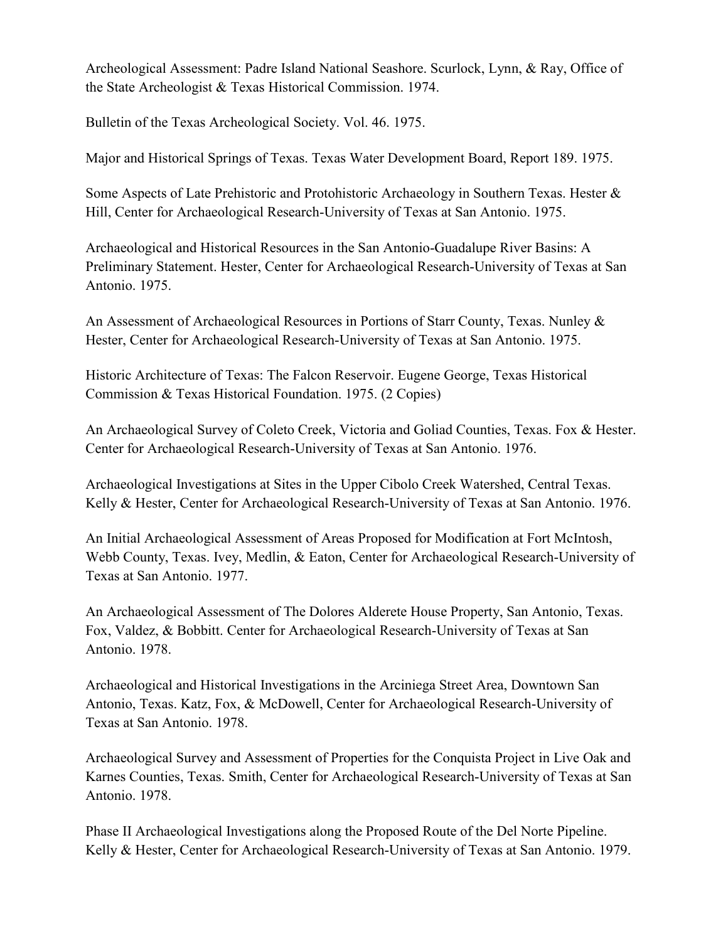Archeological Assessment: Padre Island National Seashore. Scurlock, Lynn, & Ray, Office of the State Archeologist & Texas Historical Commission. 1974.

Bulletin of the Texas Archeological Society. Vol. 46. 1975.

Major and Historical Springs of Texas. Texas Water Development Board, Report 189. 1975.

Some Aspects of Late Prehistoric and Protohistoric Archaeology in Southern Texas. Hester & Hill, Center for Archaeological Research-University of Texas at San Antonio. 1975.

Archaeological and Historical Resources in the San Antonio-Guadalupe River Basins: A Preliminary Statement. Hester, Center for Archaeological Research-University of Texas at San Antonio. 1975.

An Assessment of Archaeological Resources in Portions of Starr County, Texas. Nunley & Hester, Center for Archaeological Research-University of Texas at San Antonio. 1975.

Historic Architecture of Texas: The Falcon Reservoir. Eugene George, Texas Historical Commission & Texas Historical Foundation. 1975. (2 Copies)

An Archaeological Survey of Coleto Creek, Victoria and Goliad Counties, Texas. Fox & Hester. Center for Archaeological Research-University of Texas at San Antonio. 1976.

Archaeological Investigations at Sites in the Upper Cibolo Creek Watershed, Central Texas. Kelly & Hester, Center for Archaeological Research-University of Texas at San Antonio. 1976.

An Initial Archaeological Assessment of Areas Proposed for Modification at Fort McIntosh, Webb County, Texas. Ivey, Medlin, & Eaton, Center for Archaeological Research-University of Texas at San Antonio. 1977.

An Archaeological Assessment of The Dolores Alderete House Property, San Antonio, Texas. Fox, Valdez, & Bobbitt. Center for Archaeological Research-University of Texas at San Antonio. 1978.

Archaeological and Historical Investigations in the Arciniega Street Area, Downtown San Antonio, Texas. Katz, Fox, & McDowell, Center for Archaeological Research-University of Texas at San Antonio. 1978.

Archaeological Survey and Assessment of Properties for the Conquista Project in Live Oak and Karnes Counties, Texas. Smith, Center for Archaeological Research-University of Texas at San Antonio. 1978.

Phase II Archaeological Investigations along the Proposed Route of the Del Norte Pipeline. Kelly & Hester, Center for Archaeological Research-University of Texas at San Antonio. 1979.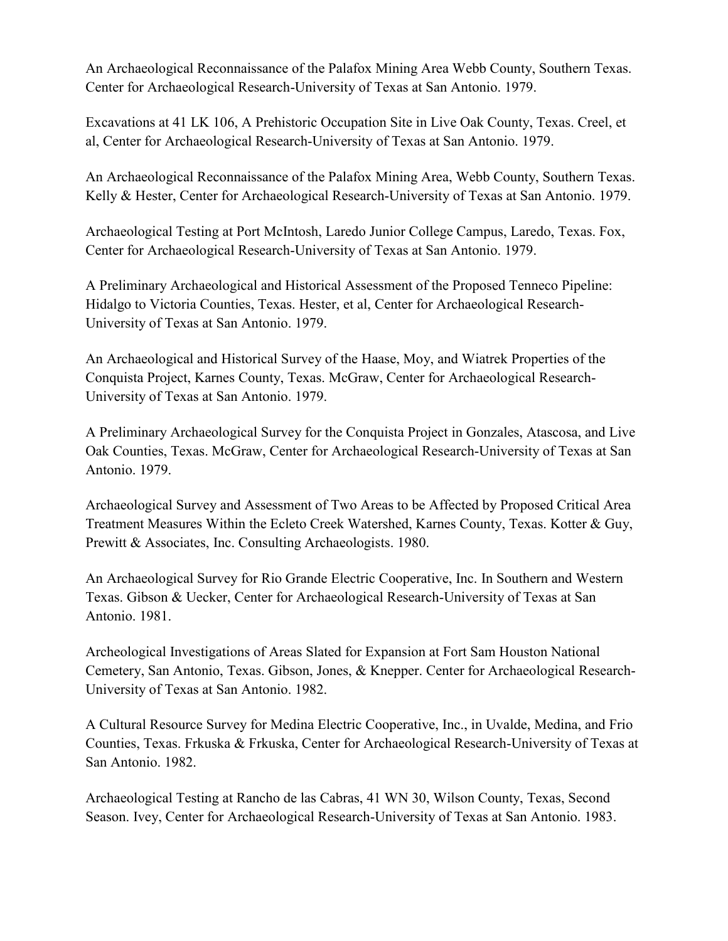An Archaeological Reconnaissance of the Palafox Mining Area Webb County, Southern Texas. Center for Archaeological Research-University of Texas at San Antonio. 1979.

Excavations at 41 LK 106, A Prehistoric Occupation Site in Live Oak County, Texas. Creel, et al, Center for Archaeological Research-University of Texas at San Antonio. 1979.

An Archaeological Reconnaissance of the Palafox Mining Area, Webb County, Southern Texas. Kelly & Hester, Center for Archaeological Research-University of Texas at San Antonio. 1979.

Archaeological Testing at Port McIntosh, Laredo Junior College Campus, Laredo, Texas. Fox, Center for Archaeological Research-University of Texas at San Antonio. 1979.

A Preliminary Archaeological and Historical Assessment of the Proposed Tenneco Pipeline: Hidalgo to Victoria Counties, Texas. Hester, et al, Center for Archaeological Research-University of Texas at San Antonio. 1979.

An Archaeological and Historical Survey of the Haase, Moy, and Wiatrek Properties of the Conquista Project, Karnes County, Texas. McGraw, Center for Archaeological Research-University of Texas at San Antonio. 1979.

A Preliminary Archaeological Survey for the Conquista Project in Gonzales, Atascosa, and Live Oak Counties, Texas. McGraw, Center for Archaeological Research-University of Texas at San Antonio. 1979.

Archaeological Survey and Assessment of Two Areas to be Affected by Proposed Critical Area Treatment Measures Within the Ecleto Creek Watershed, Karnes County, Texas. Kotter & Guy, Prewitt & Associates, Inc. Consulting Archaeologists. 1980.

An Archaeological Survey for Rio Grande Electric Cooperative, Inc. In Southern and Western Texas. Gibson & Uecker, Center for Archaeological Research-University of Texas at San Antonio. 1981.

Archeological Investigations of Areas Slated for Expansion at Fort Sam Houston National Cemetery, San Antonio, Texas. Gibson, Jones, & Knepper. Center for Archaeological Research-University of Texas at San Antonio. 1982.

A Cultural Resource Survey for Medina Electric Cooperative, Inc., in Uvalde, Medina, and Frio Counties, Texas. Frkuska & Frkuska, Center for Archaeological Research-University of Texas at San Antonio. 1982.

Archaeological Testing at Rancho de las Cabras, 41 WN 30, Wilson County, Texas, Second Season. Ivey, Center for Archaeological Research-University of Texas at San Antonio. 1983.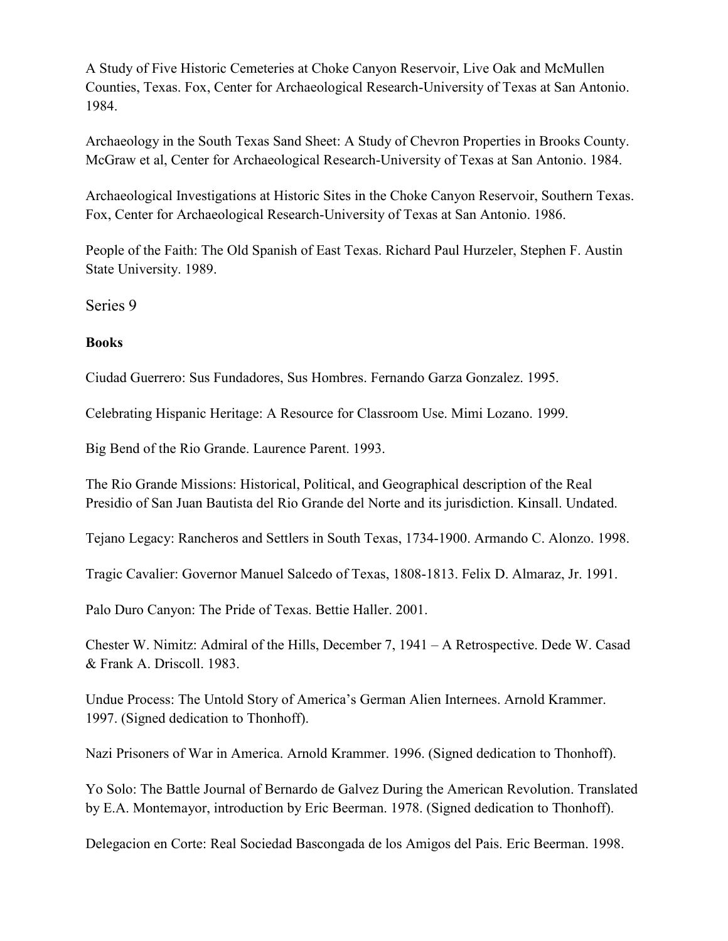A Study of Five Historic Cemeteries at Choke Canyon Reservoir, Live Oak and McMullen Counties, Texas. Fox, Center for Archaeological Research-University of Texas at San Antonio. 1984.

Archaeology in the South Texas Sand Sheet: A Study of Chevron Properties in Brooks County. McGraw et al, Center for Archaeological Research-University of Texas at San Antonio. 1984.

Archaeological Investigations at Historic Sites in the Choke Canyon Reservoir, Southern Texas. Fox, Center for Archaeological Research-University of Texas at San Antonio. 1986.

People of the Faith: The Old Spanish of East Texas. Richard Paul Hurzeler, Stephen F. Austin State University. 1989.

Series 9

#### **Books**

Ciudad Guerrero: Sus Fundadores, Sus Hombres. Fernando Garza Gonzalez. 1995.

Celebrating Hispanic Heritage: A Resource for Classroom Use. Mimi Lozano. 1999.

Big Bend of the Rio Grande. Laurence Parent. 1993.

The Rio Grande Missions: Historical, Political, and Geographical description of the Real Presidio of San Juan Bautista del Rio Grande del Norte and its jurisdiction. Kinsall. Undated.

Tejano Legacy: Rancheros and Settlers in South Texas, 1734-1900. Armando C. Alonzo. 1998.

Tragic Cavalier: Governor Manuel Salcedo of Texas, 1808-1813. Felix D. Almaraz, Jr. 1991.

Palo Duro Canyon: The Pride of Texas. Bettie Haller. 2001.

Chester W. Nimitz: Admiral of the Hills, December 7, 1941 – A Retrospective. Dede W. Casad & Frank A. Driscoll. 1983.

Undue Process: The Untold Story of America's German Alien Internees. Arnold Krammer. 1997. (Signed dedication to Thonhoff).

Nazi Prisoners of War in America. Arnold Krammer. 1996. (Signed dedication to Thonhoff).

Yo Solo: The Battle Journal of Bernardo de Galvez During the American Revolution. Translated by E.A. Montemayor, introduction by Eric Beerman. 1978. (Signed dedication to Thonhoff).

Delegacion en Corte: Real Sociedad Bascongada de los Amigos del Pais. Eric Beerman. 1998.